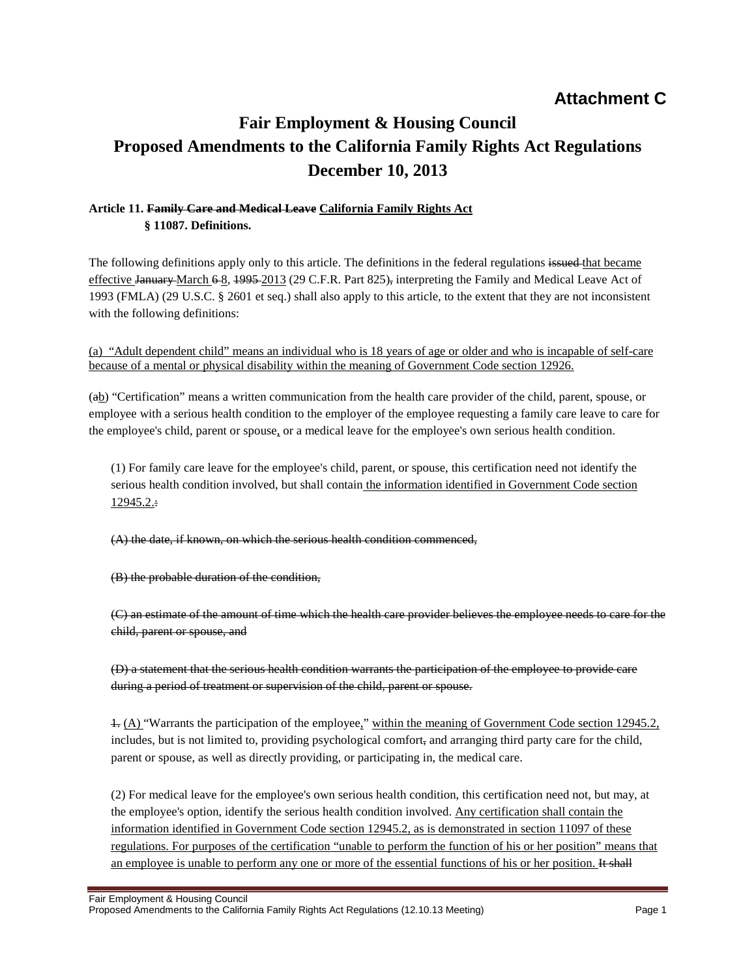# **Attachment C**

# **Fair Employment & Housing Council Proposed Amendments to the California Family Rights Act Regulations December 10, 2013**

# **Article 11. Family Care and Medical Leave California Family Rights Act § 11087. Definitions.**

The following definitions apply only to this article. The definitions in the federal regulations is sued that became effective January March 6 8, 1995 2013 (29 C.F.R. Part 825), interpreting the Family and Medical Leave Act of 1993 (FMLA) (29 U.S.C. § 2601 et seq.) shall also apply to this article, to the extent that they are not inconsistent with the following definitions:

(a) "Adult dependent child" means an individual who is 18 years of age or older and who is incapable of self-care because of a mental or physical disability within the meaning of Government Code section 12926.

(ab) "Certification" means a written communication from the health care provider of the child, parent, spouse, or employee with a serious health condition to the employer of the employee requesting a family care leave to care for the employee's child, parent or spouse, or a medical leave for the employee's own serious health condition.

(1) For family care leave for the employee's child, parent, or spouse, this certification need not identify the serious health condition involved, but shall contain the information identified in Government Code section 12945.2.:

(A) the date, if known, on which the serious health condition commenced,

(B) the probable duration of the condition,

(C) an estimate of the amount of time which the health care provider believes the employee needs to care for the child, parent or spouse, and

(D) a statement that the serious health condition warrants the participation of the employee to provide care during a period of treatment or supervision of the child, parent or spouse.

 $\pm$  (A) "Warrants the participation of the employee," within the meaning of Government Code section 12945.2, includes, but is not limited to, providing psychological comfort, and arranging third party care for the child, parent or spouse, as well as directly providing, or participating in, the medical care.

(2) For medical leave for the employee's own serious health condition, this certification need not, but may, at the employee's option, identify the serious health condition involved. Any certification shall contain the information identified in Government Code section 12945.2, as is demonstrated in section 11097 of these regulations. For purposes of the certification "unable to perform the function of his or her position" means that an employee is unable to perform any one or more of the essential functions of his or her position. It shall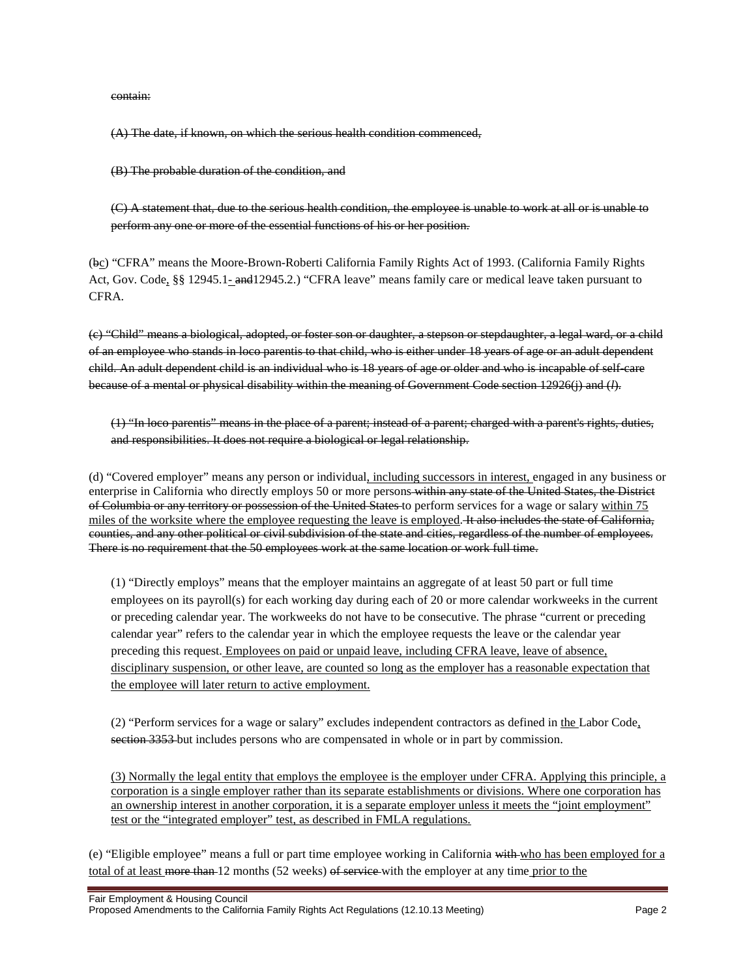contain:

(A) The date, if known, on which the serious health condition commenced,

(B) The probable duration of the condition, and

(C) A statement that, due to the serious health condition, the employee is unable to work at all or is unable to perform any one or more of the essential functions of his or her position.

(bc) "CFRA" means the Moore-Brown-Roberti California Family Rights Act of 1993. (California Family Rights Act, Gov. Code, §§ 12945.1- and 12945.2.) "CFRA leave" means family care or medical leave taken pursuant to CFRA.

(c) "Child" means a biological, adopted, or foster son or daughter, a stepson or stepdaughter, a legal ward, or a child of an employee who stands in loco parentis to that child, who is either under 18 years of age or an adult dependent child. An adult dependent child is an individual who is 18 years of age or older and who is incapable of self-care because of a mental or physical disability within the meaning of Government Code section 12926(j) and (*l*).

(1) "In loco parentis" means in the place of a parent; instead of a parent; charged with a parent's rights, duties, and responsibilities. It does not require a biological or legal relationship.

(d) "Covered employer" means any person or individual, including successors in interest, engaged in any business or enterprise in California who directly employs 50 or more persons within any state of the United States, the District of Columbia or any territory or possession of the United States to perform services for a wage or salary within 75 miles of the worksite where the employee requesting the leave is employed. It also includes the state of California, counties, and any other political or civil subdivision of the state and cities, regardless of the number of employees. There is no requirement that the 50 employees work at the same location or work full time.

(1) "Directly employs" means that the employer maintains an aggregate of at least 50 part or full time employees on its payroll(s) for each working day during each of 20 or more calendar workweeks in the current or preceding calendar year. The workweeks do not have to be consecutive. The phrase "current or preceding calendar year" refers to the calendar year in which the employee requests the leave or the calendar year preceding this request. Employees on paid or unpaid leave, including CFRA leave, leave of absence, disciplinary suspension, or other leave, are counted so long as the employer has a reasonable expectation that the employee will later return to active employment.

(2) "Perform services for a wage or salary" excludes independent contractors as defined in the Labor Code, section 3353-but includes persons who are compensated in whole or in part by commission.

(3) Normally the legal entity that employs the employee is the employer under CFRA. Applying this principle, a corporation is a single employer rather than its separate establishments or divisions. Where one corporation has an ownership interest in another corporation, it is a separate employer unless it meets the "joint employment" test or the "integrated employer" test, as described in FMLA regulations.

(e) "Eligible employee" means a full or part time employee working in California with who has been employed for a total of at least more than 12 months (52 weeks) of service with the employer at any time prior to the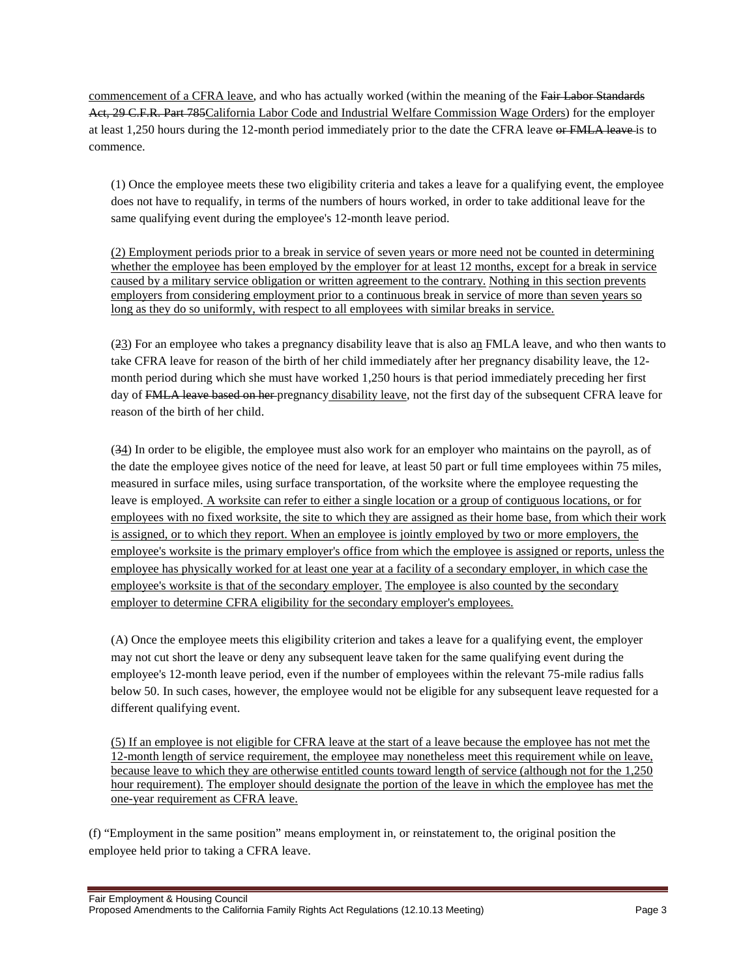commencement of a CFRA leave, and who has actually worked (within the meaning of the Fair Labor Standards Act, 29 C.F.R. Part 785 California Labor Code and Industrial Welfare Commission Wage Orders) for the employer at least 1,250 hours during the 12-month period immediately prior to the date the CFRA leave or FMLA leave is to commence.

(1) Once the employee meets these two eligibility criteria and takes a leave for a qualifying event, the employee does not have to requalify, in terms of the numbers of hours worked, in order to take additional leave for the same qualifying event during the employee's 12-month leave period.

(2) Employment periods prior to a break in service of seven years or more need not be counted in determining whether the employee has been employed by the employer for at least 12 months, except for a break in service caused by a military service obligation or written agreement to the contrary. Nothing in this section prevents employers from considering employment prior to a continuous break in service of more than seven years so long as they do so uniformly, with respect to all employees with similar breaks in service.

(23) For an employee who takes a pregnancy disability leave that is also an FMLA leave, and who then wants to take CFRA leave for reason of the birth of her child immediately after her pregnancy disability leave, the 12 month period during which she must have worked 1,250 hours is that period immediately preceding her first day of FMLA leave based on her pregnancy disability leave, not the first day of the subsequent CFRA leave for reason of the birth of her child.

(34) In order to be eligible, the employee must also work for an employer who maintains on the payroll, as of the date the employee gives notice of the need for leave, at least 50 part or full time employees within 75 miles, measured in surface miles, using surface transportation, of the worksite where the employee requesting the leave is employed. A worksite can refer to either a single location or a group of contiguous locations, or for employees with no fixed worksite, the site to which they are assigned as their home base, from which their work is assigned, or to which they report. When an employee is jointly employed by two or more employers, the employee's worksite is the primary employer's office from which the employee is assigned or reports, unless the employee has physically worked for at least one year at a facility of a secondary employer, in which case the employee's worksite is that of the secondary employer. The employee is also counted by the secondary employer to determine CFRA eligibility for the secondary employer's employees.

(A) Once the employee meets this eligibility criterion and takes a leave for a qualifying event, the employer may not cut short the leave or deny any subsequent leave taken for the same qualifying event during the employee's 12-month leave period, even if the number of employees within the relevant 75-mile radius falls below 50. In such cases, however, the employee would not be eligible for any subsequent leave requested for a different qualifying event.

(5) If an employee is not eligible for CFRA leave at the start of a leave because the employee has not met the 12-month length of service requirement, the employee may nonetheless meet this requirement while on leave, because leave to which they are otherwise entitled counts toward length of service (although not for the 1,250 hour requirement). The employer should designate the portion of the leave in which the employee has met the one-year requirement as CFRA leave.

(f) "Employment in the same position" means employment in, or reinstatement to, the original position the employee held prior to taking a CFRA leave.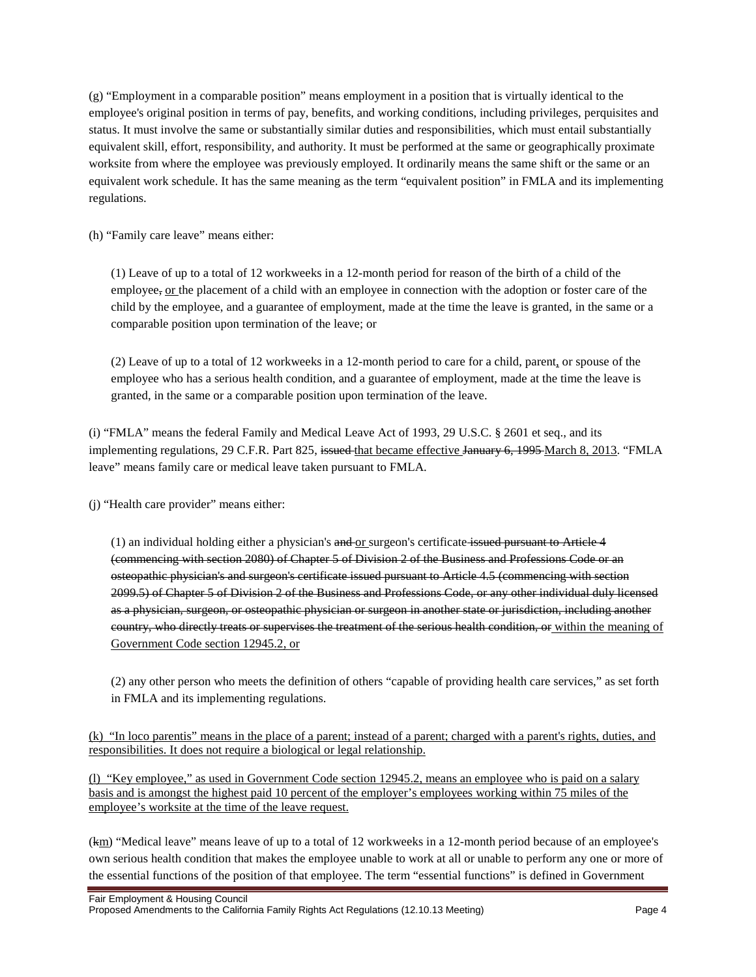(g) "Employment in a comparable position" means employment in a position that is virtually identical to the employee's original position in terms of pay, benefits, and working conditions, including privileges, perquisites and status. It must involve the same or substantially similar duties and responsibilities, which must entail substantially equivalent skill, effort, responsibility, and authority. It must be performed at the same or geographically proximate worksite from where the employee was previously employed. It ordinarily means the same shift or the same or an equivalent work schedule. It has the same meaning as the term "equivalent position" in FMLA and its implementing regulations.

(h) "Family care leave" means either:

(1) Leave of up to a total of 12 workweeks in a 12-month period for reason of the birth of a child of the employee, or the placement of a child with an employee in connection with the adoption or foster care of the child by the employee, and a guarantee of employment, made at the time the leave is granted, in the same or a comparable position upon termination of the leave; or

(2) Leave of up to a total of 12 workweeks in a 12-month period to care for a child, parent, or spouse of the employee who has a serious health condition, and a guarantee of employment, made at the time the leave is granted, in the same or a comparable position upon termination of the leave.

(i) "FMLA" means the federal Family and Medical Leave Act of 1993, 29 U.S.C. § 2601 et seq., and its implementing regulations, 29 C.F.R. Part 825, issued that became effective January 6, 1995 March 8, 2013. "FMLA leave" means family care or medical leave taken pursuant to FMLA.

(j) "Health care provider" means either:

 $(1)$  an individual holding either a physician's and or surgeon's certificate issued pursuant to Article 4 (commencing with section 2080) of Chapter 5 of Division 2 of the Business and Professions Code or an osteopathic physician's and surgeon's certificate issued pursuant to Article 4.5 (commencing with section 2099.5) of Chapter 5 of Division 2 of the Business and Professions Code, or any other individual duly licensed as a physician, surgeon, or osteopathic physician or surgeon in another state or jurisdiction, including another country, who directly treats or supervises the treatment of the serious health condition, or within the meaning of Government Code section 12945.2, or

(2) any other person who meets the definition of others "capable of providing health care services," as set forth in FMLA and its implementing regulations.

(k) "In loco parentis" means in the place of a parent; instead of a parent; charged with a parent's rights, duties, and responsibilities. It does not require a biological or legal relationship.

(l) "Key employee," as used in Government Code section 12945.2, means an employee who is paid on a salary basis and is amongst the highest paid 10 percent of the employer's employees working within 75 miles of the employee's worksite at the time of the leave request.

(km) "Medical leave" means leave of up to a total of 12 workweeks in a 12-month period because of an employee's own serious health condition that makes the employee unable to work at all or unable to perform any one or more of the essential functions of the position of that employee. The term "essential functions" is defined in Government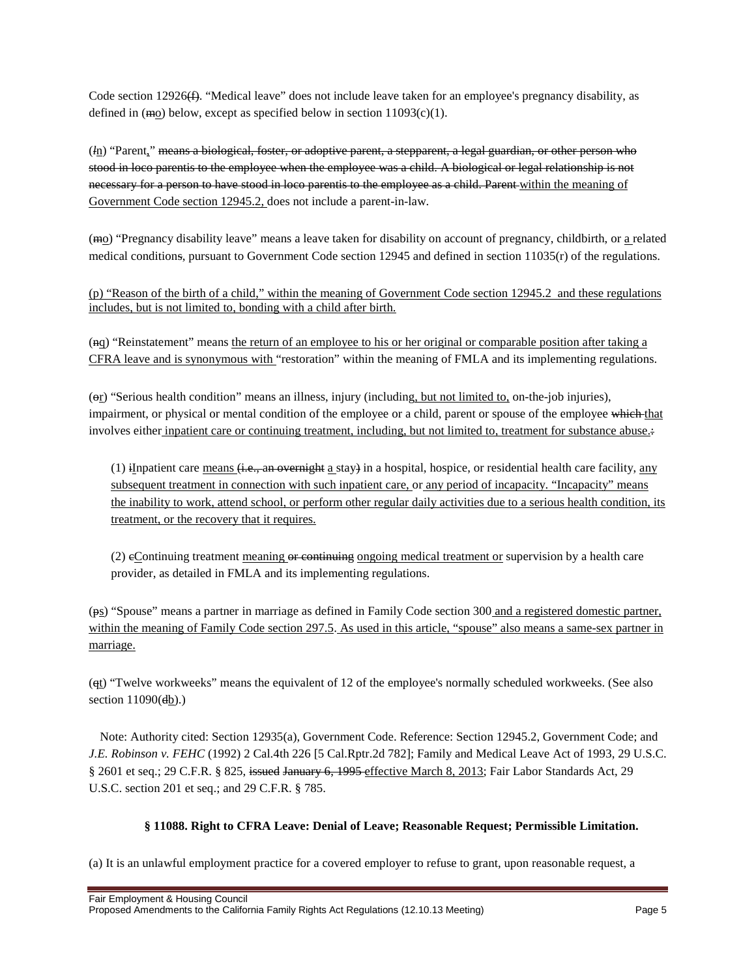Code section 12926(f). "Medical leave" does not include leave taken for an employee's pregnancy disability, as defined in  $(m_0)$  below, except as specified below in section  $11093(c)(1)$ .

(*l*n) "Parent," means a biological, foster, or adoptive parent, a stepparent, a legal guardian, or other person who stood in loco parentis to the employee when the employee was a child. A biological or legal relationship is not necessary for a person to have stood in loco parentis to the employee as a child. Parent within the meaning of Government Code section 12945.2, does not include a parent-in-law.

(mo) "Pregnancy disability leave" means a leave taken for disability on account of pregnancy, childbirth, or a related medical conditions, pursuant to Government Code section 12945 and defined in section 11035(r) of the regulations.

(p) "Reason of the birth of a child," within the meaning of Government Code section 12945.2 and these regulations includes, but is not limited to, bonding with a child after birth.

(nq) "Reinstatement" means the return of an employee to his or her original or comparable position after taking a CFRA leave and is synonymous with "restoration" within the meaning of FMLA and its implementing regulations.

(or) "Serious health condition" means an illness, injury (including, but not limited to, on-the-job injuries), impairment, or physical or mental condition of the employee or a child, parent or spouse of the employee which that involves either inpatient care or continuing treatment, including, but not limited to, treatment for substance abuse.

(1) iInpatient care means  $(i.e.,$  an overnight a stay) in a hospital, hospice, or residential health care facility, any subsequent treatment in connection with such inpatient care, or any period of incapacity. "Incapacity" means the inability to work, attend school, or perform other regular daily activities due to a serious health condition, its treatment, or the recovery that it requires.

(2) eContinuing treatment meaning or continuing ongoing medical treatment or supervision by a health care provider, as detailed in FMLA and its implementing regulations.

(ps) "Spouse" means a partner in marriage as defined in Family Code section 300 and a registered domestic partner, within the meaning of Family Code section 297.5. As used in this article, "spouse" also means a same-sex partner in marriage.

(qt) "Twelve workweeks" means the equivalent of 12 of the employee's normally scheduled workweeks. (See also section  $11090$ ( $db$ ).)

Note: Authority cited: Section 12935(a), Government Code. Reference: Section 12945.2, Government Code; and *J.E. Robinson v. FEHC* (1992) 2 Cal.4th 226 [5 Cal.Rptr.2d 782]; Family and Medical Leave Act of 1993, 29 U.S.C. § 2601 et seq.; 29 C.F.R. § 825, issued January 6, 1995 effective March 8, 2013; Fair Labor Standards Act, 29 U.S.C. section 201 et seq.; and 29 C.F.R. § 785.

# **§ 11088. Right to CFRA Leave: Denial of Leave; Reasonable Request; Permissible Limitation.**

(a) It is an unlawful employment practice for a covered employer to refuse to grant, upon reasonable request, a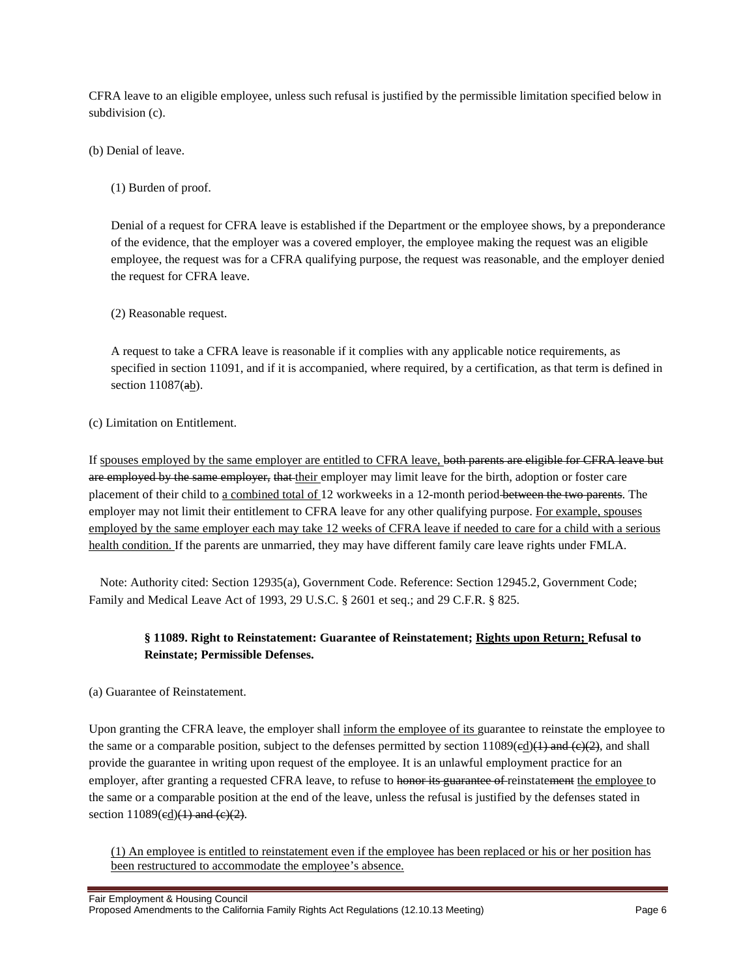CFRA leave to an eligible employee, unless such refusal is justified by the permissible limitation specified below in subdivision (c).

(b) Denial of leave.

(1) Burden of proof.

Denial of a request for CFRA leave is established if the Department or the employee shows, by a preponderance of the evidence, that the employer was a covered employer, the employee making the request was an eligible employee, the request was for a CFRA qualifying purpose, the request was reasonable, and the employer denied the request for CFRA leave.

(2) Reasonable request.

A request to take a CFRA leave is reasonable if it complies with any applicable notice requirements, as specified in section 11091, and if it is accompanied, where required, by a certification, as that term is defined in section 11087(ab).

#### (c) Limitation on Entitlement.

If spouses employed by the same employer are entitled to CFRA leave, both parents are eligible for CFRA leave but are employed by the same employer, that their employer may limit leave for the birth, adoption or foster care placement of their child to a combined total of 12 workweeks in a 12-month period between the two parents. The employer may not limit their entitlement to CFRA leave for any other qualifying purpose. For example, spouses employed by the same employer each may take 12 weeks of CFRA leave if needed to care for a child with a serious health condition. If the parents are unmarried, they may have different family care leave rights under FMLA.

Note: Authority cited: Section 12935(a), Government Code. Reference: Section 12945.2, Government Code; Family and Medical Leave Act of 1993, 29 U.S.C. § 2601 et seq.; and 29 C.F.R. § 825.

# **§ 11089. Right to Reinstatement: Guarantee of Reinstatement; Rights upon Return; Refusal to Reinstate; Permissible Defenses.**

#### (a) Guarantee of Reinstatement.

Upon granting the CFRA leave, the employer shall inform the employee of its guarantee to reinstate the employee to the same or a comparable position, subject to the defenses permitted by section  $11089 \text{ (ed)(4)}$  and  $\text{ (e)(2)}$ , and shall provide the guarantee in writing upon request of the employee. It is an unlawful employment practice for an employer, after granting a requested CFRA leave, to refuse to honor its guarantee of reinstatement the employee to the same or a comparable position at the end of the leave, unless the refusal is justified by the defenses stated in section  $11089$ (ed)(1) and (e)(2).

(1) An employee is entitled to reinstatement even if the employee has been replaced or his or her position has been restructured to accommodate the employee's absence.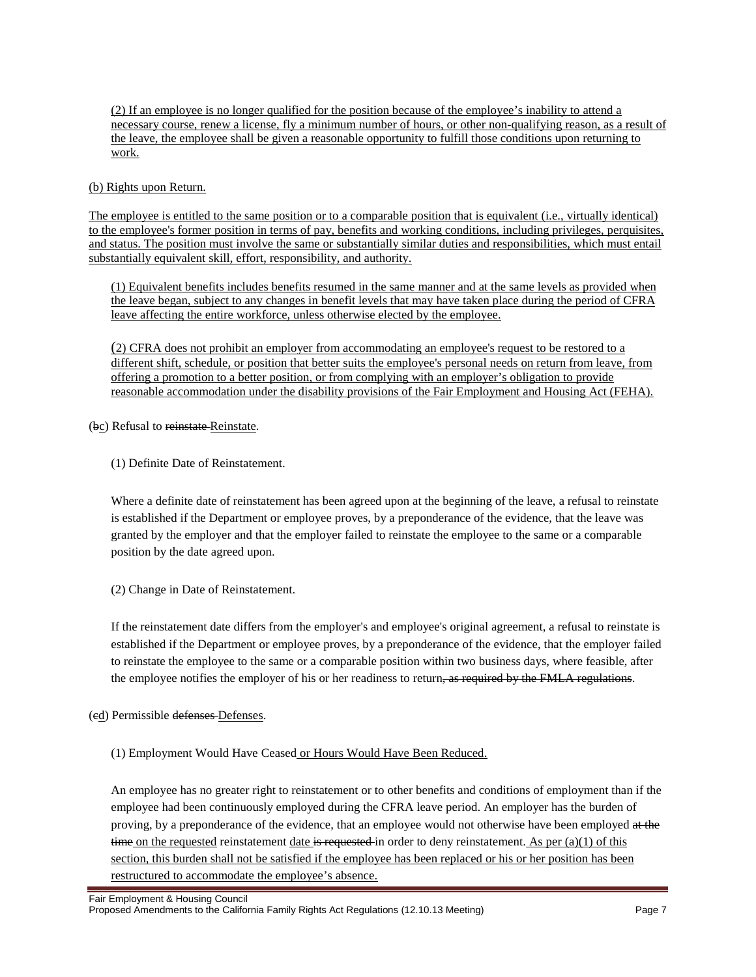(2) If an employee is no longer qualified for the position because of the employee's inability to attend a necessary course, renew a license, fly a minimum number of hours, or other non-qualifying reason, as a result of the leave, the employee shall be given a reasonable opportunity to fulfill those conditions upon returning to work.

(b) Rights upon Return.

The employee is entitled to the same position or to a comparable position that is equivalent (i.e., virtually identical) to the employee's former position in terms of pay, benefits and working conditions, including privileges, perquisites, and status. The position must involve the same or substantially similar duties and responsibilities, which must entail substantially equivalent skill, effort, responsibility, and authority.

(1) Equivalent benefits includes benefits resumed in the same manner and at the same levels as provided when the leave began, subject to any changes in benefit levels that may have taken place during the period of CFRA leave affecting the entire workforce, unless otherwise elected by the employee.

(2) CFRA does not prohibit an employer from accommodating an employee's request to be restored to a different shift, schedule, or position that better suits the employee's personal needs on return from leave, from offering a promotion to a better position, or from complying with an employer's obligation to provide reasonable accommodation under the disability provisions of the Fair Employment and Housing Act (FEHA).

(bc) Refusal to reinstate Reinstate.

(1) Definite Date of Reinstatement.

Where a definite date of reinstatement has been agreed upon at the beginning of the leave, a refusal to reinstate is established if the Department or employee proves, by a preponderance of the evidence, that the leave was granted by the employer and that the employer failed to reinstate the employee to the same or a comparable position by the date agreed upon.

(2) Change in Date of Reinstatement.

If the reinstatement date differs from the employer's and employee's original agreement, a refusal to reinstate is established if the Department or employee proves, by a preponderance of the evidence, that the employer failed to reinstate the employee to the same or a comparable position within two business days, where feasible, after the employee notifies the employer of his or her readiness to return<del>, as required by the FMLA regulations</del>.

(cd) Permissible defenses Defenses.

(1) Employment Would Have Ceased or Hours Would Have Been Reduced.

An employee has no greater right to reinstatement or to other benefits and conditions of employment than if the employee had been continuously employed during the CFRA leave period. An employer has the burden of proving, by a preponderance of the evidence, that an employee would not otherwise have been employed at the time on the requested reinstatement date is requested in order to deny reinstatement. As per  $(a)(1)$  of this section, this burden shall not be satisfied if the employee has been replaced or his or her position has been restructured to accommodate the employee's absence.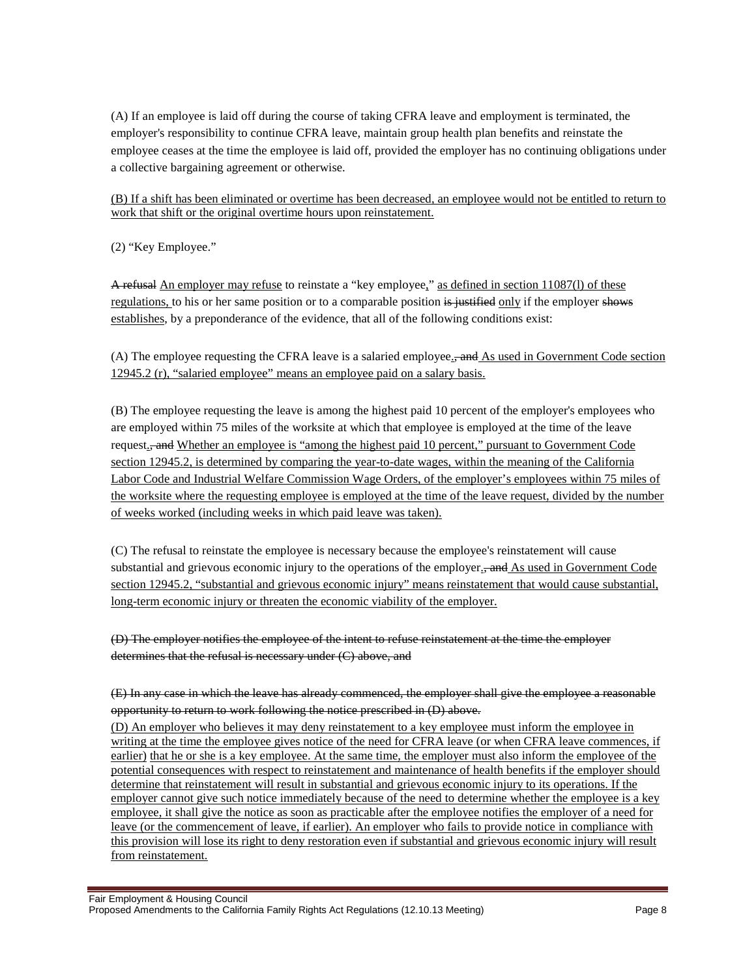(A) If an employee is laid off during the course of taking CFRA leave and employment is terminated, the employer's responsibility to continue CFRA leave, maintain group health plan benefits and reinstate the employee ceases at the time the employee is laid off, provided the employer has no continuing obligations under a collective bargaining agreement or otherwise.

(B) If a shift has been eliminated or overtime has been decreased, an employee would not be entitled to return to work that shift or the original overtime hours upon reinstatement.

(2) "Key Employee."

A refusal An employer may refuse to reinstate a "key employee," as defined in section 11087(1) of these regulations, to his or her same position or to a comparable position is justified only if the employer shows establishes, by a preponderance of the evidence, that all of the following conditions exist:

(A) The employee requesting the CFRA leave is a salaried employee.<del>, and</del> As used in Government Code section 12945.2 (r), "salaried employee" means an employee paid on a salary basis.

(B) The employee requesting the leave is among the highest paid 10 percent of the employer's employees who are employed within 75 miles of the worksite at which that employee is employed at the time of the leave request<sub>s</sub>, and Whether an employee is "among the highest paid 10 percent," pursuant to Government Code section 12945.2, is determined by comparing the year-to-date wages, within the meaning of the California Labor Code and Industrial Welfare Commission Wage Orders, of the employer's employees within 75 miles of the worksite where the requesting employee is employed at the time of the leave request, divided by the number of weeks worked (including weeks in which paid leave was taken).

(C) The refusal to reinstate the employee is necessary because the employee's reinstatement will cause substantial and grievous economic injury to the operations of the employer.<del>, and</del> As used in Government Code section 12945.2, "substantial and grievous economic injury" means reinstatement that would cause substantial, long-term economic injury or threaten the economic viability of the employer.

(D) The employer notifies the employee of the intent to refuse reinstatement at the time the employer determines that the refusal is necessary under (C) above, and

(E) In any case in which the leave has already commenced, the employer shall give the employee a reasonable opportunity to return to work following the notice prescribed in (D) above.

(D) An employer who believes it may deny reinstatement to a key employee must inform the employee in writing at the time the employee gives notice of the need for CFRA leave (or when CFRA leave commences, if earlier) that he or she is a key employee. At the same time, the employer must also inform the employee of the potential consequences with respect to reinstatement and maintenance of health benefits if the employer should determine that reinstatement will result in substantial and grievous economic injury to its operations. If the employer cannot give such notice immediately because of the need to determine whether the employee is a key employee, it shall give the notice as soon as practicable after the employee notifies the employer of a need for leave (or the commencement of leave, if earlier). An employer who fails to provide notice in compliance with this provision will lose its right to deny restoration even if substantial and grievous economic injury will result from reinstatement.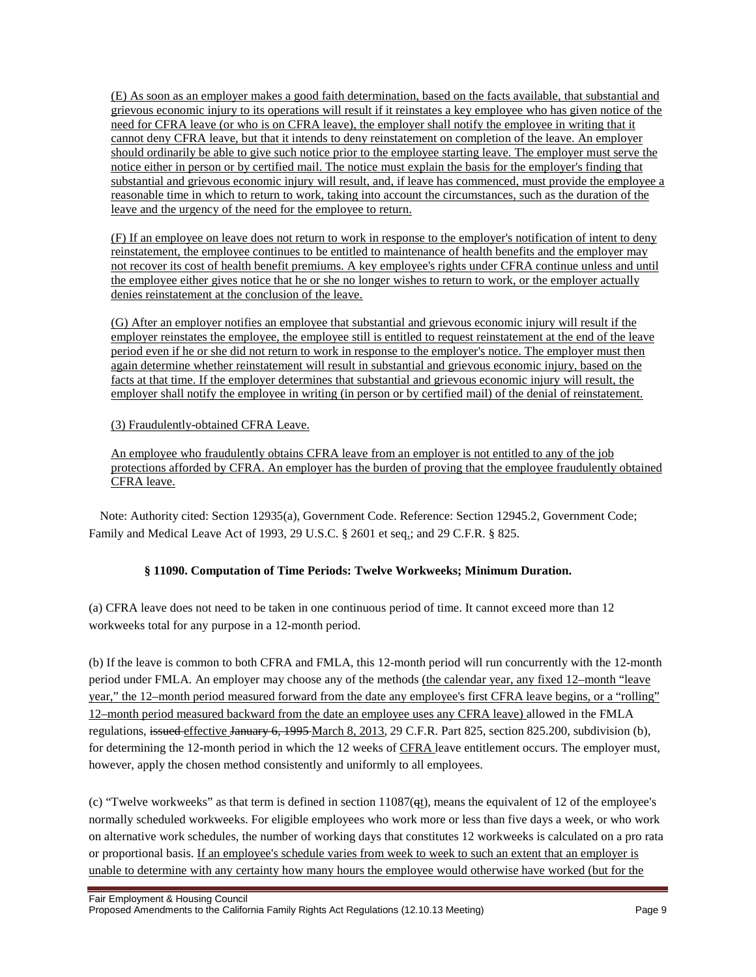(E) As soon as an employer makes a good faith determination, based on the facts available, that substantial and grievous economic injury to its operations will result if it reinstates a key employee who has given notice of the need for CFRA leave (or who is on CFRA leave), the employer shall notify the employee in writing that it cannot deny CFRA leave, but that it intends to deny reinstatement on completion of the leave. An employer should ordinarily be able to give such notice prior to the employee starting leave. The employer must serve the notice either in person or by certified mail. The notice must explain the basis for the employer's finding that substantial and grievous economic injury will result, and, if leave has commenced, must provide the employee a reasonable time in which to return to work, taking into account the circumstances, such as the duration of the leave and the urgency of the need for the employee to return.

(F) If an employee on leave does not return to work in response to the employer's notification of intent to deny reinstatement, the employee continues to be entitled to maintenance of health benefits and the employer may not recover its cost of health benefit premiums. A key employee's rights under CFRA continue unless and until the employee either gives notice that he or she no longer wishes to return to work, or the employer actually denies reinstatement at the conclusion of the leave.

(G) After an employer notifies an employee that substantial and grievous economic injury will result if the employer reinstates the employee, the employee still is entitled to request reinstatement at the end of the leave period even if he or she did not return to work in response to the employer's notice. The employer must then again determine whether reinstatement will result in substantial and grievous economic injury, based on the facts at that time. If the employer determines that substantial and grievous economic injury will result, the employer shall notify the employee in writing (in person or by certified mail) of the denial of reinstatement.

(3) Fraudulently-obtained CFRA Leave.

An employee who fraudulently obtains CFRA leave from an employer is not entitled to any of the job protections afforded by CFRA. An employer has the burden of proving that the employee fraudulently obtained CFRA leave.

Note: Authority cited: Section 12935(a), Government Code. Reference: Section 12945.2, Government Code; Family and Medical Leave Act of 1993, 29 U.S.C. § 2601 et seq.; and 29 C.F.R. § 825.

# **§ 11090. Computation of Time Periods: Twelve Workweeks; Minimum Duration.**

(a) CFRA leave does not need to be taken in one continuous period of time. It cannot exceed more than 12 workweeks total for any purpose in a 12-month period.

(b) If the leave is common to both CFRA and FMLA, this 12-month period will run concurrently with the 12-month period under FMLA. An employer may choose any of the methods (the calendar year, any fixed 12–month "leave year," the 12–month period measured forward from the date any employee's first CFRA leave begins, or a "rolling" 12–month period measured backward from the date an employee uses any CFRA leave) allowed in the FMLA regulations, issued effective January 6, 1995 March 8, 2013, 29 C.F.R. Part 825, section 825.200, subdivision (b), for determining the 12-month period in which the 12 weeks of CFRA leave entitlement occurs. The employer must, however, apply the chosen method consistently and uniformly to all employees.

(c) "Twelve workweeks" as that term is defined in section 11087(qt), means the equivalent of 12 of the employee's normally scheduled workweeks. For eligible employees who work more or less than five days a week, or who work on alternative work schedules, the number of working days that constitutes 12 workweeks is calculated on a pro rata or proportional basis. If an employee's schedule varies from week to week to such an extent that an employer is unable to determine with any certainty how many hours the employee would otherwise have worked (but for the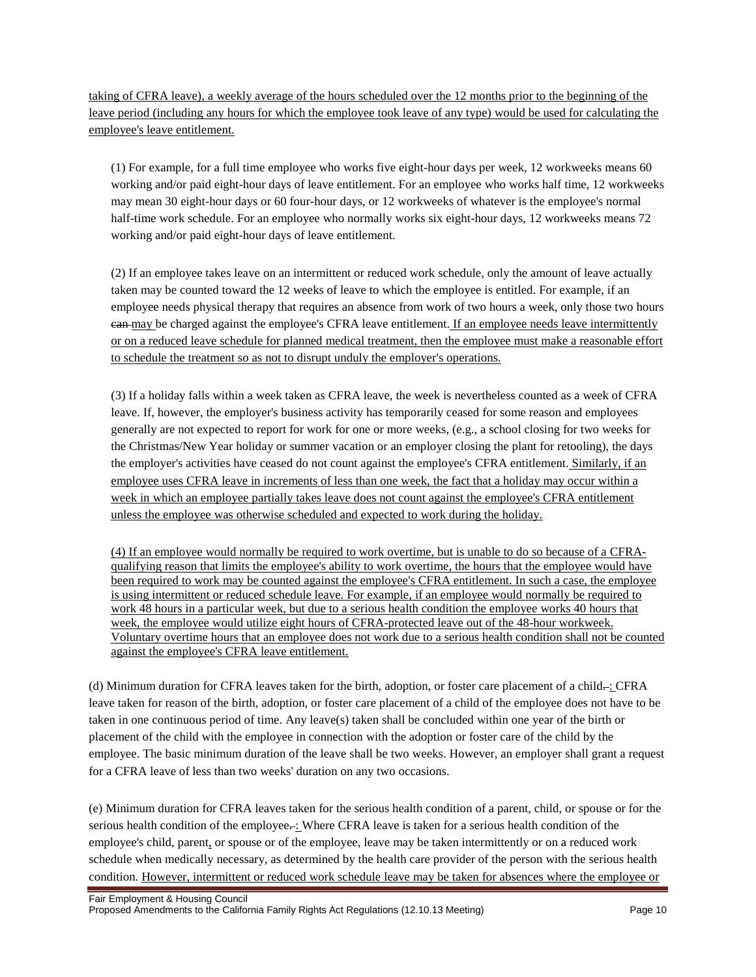taking of CFRA leave), a weekly average of the hours scheduled over the 12 months prior to the beginning of the leave period (including any hours for which the employee took leave of any type) would be used for calculating the employee's leave entitlement.

(1) For example, for a full time employee who works five eight-hour days per week, 12 workweeks means 60 working and/or paid eight-hour days of leave entitlement. For an employee who works half time, 12 workweeks may mean 30 eight-hour days or 60 four-hour days, or 12 workweeks of whatever is the employee's normal half-time work schedule. For an employee who normally works six eight-hour days, 12 workweeks means 72 working and/or paid eight-hour days of leave entitlement.

(2) If an employee takes leave on an intermittent or reduced work schedule, only the amount of leave actually taken may be counted toward the 12 weeks of leave to which the employee is entitled. For example, if an employee needs physical therapy that requires an absence from work of two hours a week, only those two hours ean may be charged against the employee's CFRA leave entitlement. If an employee needs leave intermittently or on a reduced leave schedule for planned medical treatment, then the employee must make a reasonable effort to schedule the treatment so as not to disrupt unduly the employer's operations.

(3) If a holiday falls within a week taken as CFRA leave, the week is nevertheless counted as a week of CFRA leave. If, however, the employer's business activity has temporarily ceased for some reason and employees generally are not expected to report for work for one or more weeks, (e.g., a school closing for two weeks for the Christmas/New Year holiday or summer vacation or an employer closing the plant for retooling), the days the employer's activities have ceased do not count against the employee's CFRA entitlement. Similarly, if an employee uses CFRA leave in increments of less than one week, the fact that a holiday may occur within a week in which an employee partially takes leave does not count against the employee's CFRA entitlement unless the employee was otherwise scheduled and expected to work during the holiday.

(4) If an employee would normally be required to work overtime, but is unable to do so because of a CFRAqualifying reason that limits the employee's ability to work overtime, the hours that the employee would have been required to work may be counted against the employee's CFRA entitlement. In such a case, the employee is using intermittent or reduced schedule leave. For example, if an employee would normally be required to work 48 hours in a particular week, but due to a serious health condition the employee works 40 hours that week, the employee would utilize eight hours of CFRA-protected leave out of the 48-hour workweek. Voluntary overtime hours that an employee does not work due to a serious health condition shall not be counted against the employee's CFRA leave entitlement.

(d) Minimum duration for CFRA leaves taken for the birth, adoption, or foster care placement of a child. : CFRA leave taken for reason of the birth, adoption, or foster care placement of a child of the employee does not have to be taken in one continuous period of time. Any leave(s) taken shall be concluded within one year of the birth or placement of the child with the employee in connection with the adoption or foster care of the child by the employee. The basic minimum duration of the leave shall be two weeks. However, an employer shall grant a request for a CFRA leave of less than two weeks' duration on any two occasions.

(e) Minimum duration for CFRA leaves taken for the serious health condition of a parent, child, or spouse or for the serious health condition of the employee... Where CFRA leave is taken for a serious health condition of the employee's child, parent, or spouse or of the employee, leave may be taken intermittently or on a reduced work schedule when medically necessary, as determined by the health care provider of the person with the serious health condition. However, intermittent or reduced work schedule leave may be taken for absences where the employee or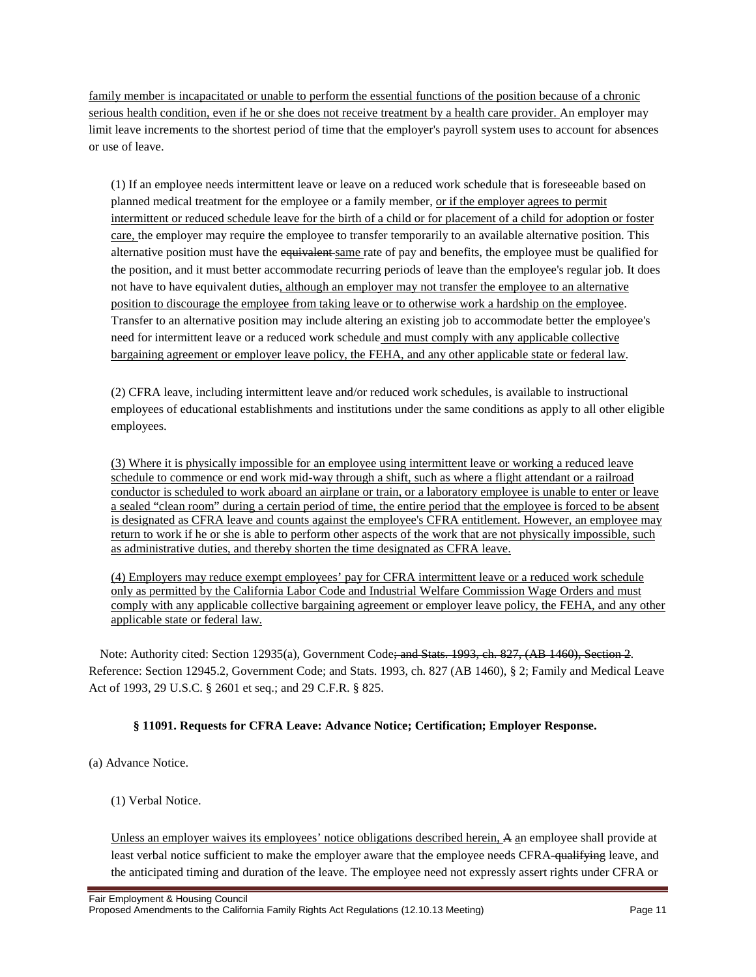family member is incapacitated or unable to perform the essential functions of the position because of a chronic serious health condition, even if he or she does not receive treatment by a health care provider. An employer may limit leave increments to the shortest period of time that the employer's payroll system uses to account for absences or use of leave.

(1) If an employee needs intermittent leave or leave on a reduced work schedule that is foreseeable based on planned medical treatment for the employee or a family member, or if the employer agrees to permit intermittent or reduced schedule leave for the birth of a child or for placement of a child for adoption or foster care, the employer may require the employee to transfer temporarily to an available alternative position. This alternative position must have the equivalent same rate of pay and benefits, the employee must be qualified for the position, and it must better accommodate recurring periods of leave than the employee's regular job. It does not have to have equivalent duties, although an employer may not transfer the employee to an alternative position to discourage the employee from taking leave or to otherwise work a hardship on the employee. Transfer to an alternative position may include altering an existing job to accommodate better the employee's need for intermittent leave or a reduced work schedule and must comply with any applicable collective bargaining agreement or employer leave policy, the FEHA, and any other applicable state or federal law.

(2) CFRA leave, including intermittent leave and/or reduced work schedules, is available to instructional employees of educational establishments and institutions under the same conditions as apply to all other eligible employees.

(3) Where it is physically impossible for an employee using intermittent leave or working a reduced leave schedule to commence or end work mid-way through a shift, such as where a flight attendant or a railroad conductor is scheduled to work aboard an airplane or train, or a laboratory employee is unable to enter or leave a sealed "clean room" during a certain period of time, the entire period that the employee is forced to be absent is designated as CFRA leave and counts against the employee's CFRA entitlement. However, an employee may return to work if he or she is able to perform other aspects of the work that are not physically impossible, such as administrative duties, and thereby shorten the time designated as CFRA leave.

(4) Employers may reduce exempt employees' pay for CFRA intermittent leave or a reduced work schedule only as permitted by the California Labor Code and Industrial Welfare Commission Wage Orders and must comply with any applicable collective bargaining agreement or employer leave policy, the FEHA, and any other applicable state or federal law.

Note: Authority cited: Section 12935(a), Government Code; and Stats. 1993, ch. 827, (AB 1460), Section 2. Reference: Section 12945.2, Government Code; and Stats. 1993, ch. 827 (AB 1460), § 2; Family and Medical Leave Act of 1993, 29 U.S.C. § 2601 et seq.; and 29 C.F.R. § 825.

# **§ 11091. Requests for CFRA Leave: Advance Notice; Certification; Employer Response.**

(a) Advance Notice.

(1) Verbal Notice.

Unless an employer waives its employees' notice obligations described herein, A an employee shall provide at least verbal notice sufficient to make the employer aware that the employee needs CFRA-qualifying leave, and the anticipated timing and duration of the leave. The employee need not expressly assert rights under CFRA or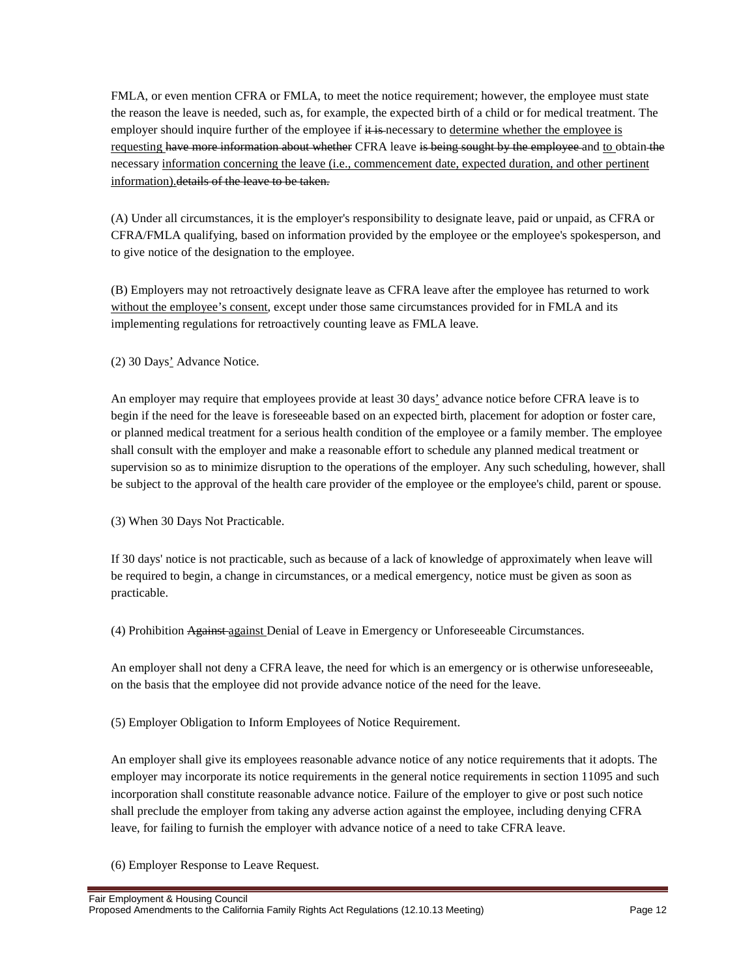FMLA, or even mention CFRA or FMLA, to meet the notice requirement; however, the employee must state the reason the leave is needed, such as, for example, the expected birth of a child or for medical treatment. The employer should inquire further of the employee if  $\ddot{\textbf{t}}$  is necessary to determine whether the employee is requesting have more information about whether CFRA leave is being sought by the employee and to obtain the necessary information concerning the leave (i.e., commencement date, expected duration, and other pertinent information).details of the leave to be taken.

(A) Under all circumstances, it is the employer's responsibility to designate leave, paid or unpaid, as CFRA or CFRA/FMLA qualifying, based on information provided by the employee or the employee's spokesperson, and to give notice of the designation to the employee.

(B) Employers may not retroactively designate leave as CFRA leave after the employee has returned to work without the employee's consent, except under those same circumstances provided for in FMLA and its implementing regulations for retroactively counting leave as FMLA leave.

(2) 30 Days' Advance Notice.

An employer may require that employees provide at least 30 days' advance notice before CFRA leave is to begin if the need for the leave is foreseeable based on an expected birth, placement for adoption or foster care, or planned medical treatment for a serious health condition of the employee or a family member. The employee shall consult with the employer and make a reasonable effort to schedule any planned medical treatment or supervision so as to minimize disruption to the operations of the employer. Any such scheduling, however, shall be subject to the approval of the health care provider of the employee or the employee's child, parent or spouse.

(3) When 30 Days Not Practicable.

If 30 days' notice is not practicable, such as because of a lack of knowledge of approximately when leave will be required to begin, a change in circumstances, or a medical emergency, notice must be given as soon as practicable.

(4) Prohibition Against-against Denial of Leave in Emergency or Unforeseeable Circumstances.

An employer shall not deny a CFRA leave, the need for which is an emergency or is otherwise unforeseeable, on the basis that the employee did not provide advance notice of the need for the leave.

(5) Employer Obligation to Inform Employees of Notice Requirement.

An employer shall give its employees reasonable advance notice of any notice requirements that it adopts. The employer may incorporate its notice requirements in the general notice requirements in section 11095 and such incorporation shall constitute reasonable advance notice. Failure of the employer to give or post such notice shall preclude the employer from taking any adverse action against the employee, including denying CFRA leave, for failing to furnish the employer with advance notice of a need to take CFRA leave.

(6) Employer Response to Leave Request.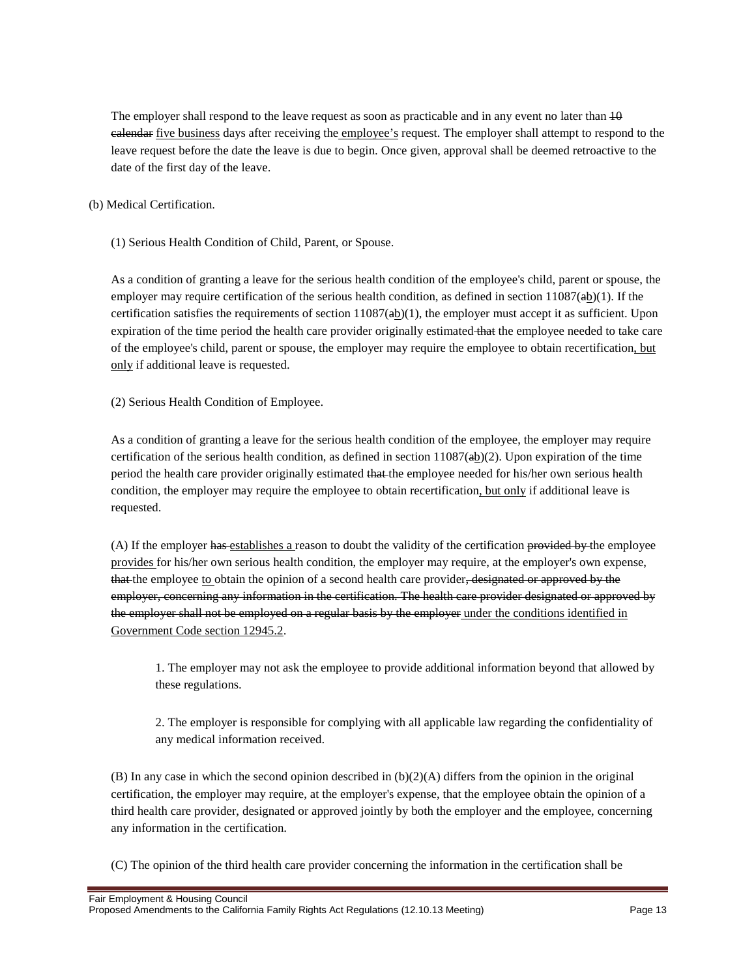The employer shall respond to the leave request as soon as practicable and in any event no later than  $\overline{10}$ ealendar five business days after receiving the employee's request. The employer shall attempt to respond to the leave request before the date the leave is due to begin. Once given, approval shall be deemed retroactive to the date of the first day of the leave.

#### (b) Medical Certification.

(1) Serious Health Condition of Child, Parent, or Spouse.

As a condition of granting a leave for the serious health condition of the employee's child, parent or spouse, the employer may require certification of the serious health condition, as defined in section  $11087 \text{(ab)}(1)$ . If the certification satisfies the requirements of section  $11087$ (ab)(1), the employer must accept it as sufficient. Upon expiration of the time period the health care provider originally estimated that the employee needed to take care of the employee's child, parent or spouse, the employer may require the employee to obtain recertification, but only if additional leave is requested.

(2) Serious Health Condition of Employee.

As a condition of granting a leave for the serious health condition of the employee, the employer may require certification of the serious health condition, as defined in section  $11087\text{(ab)}(2)$ . Upon expiration of the time period the health care provider originally estimated that the employee needed for his/her own serious health condition, the employer may require the employee to obtain recertification, but only if additional leave is requested.

(A) If the employer has establishes a reason to doubt the validity of the certification provided by the employee provides for his/her own serious health condition, the employer may require, at the employer's own expense, that the employee to obtain the opinion of a second health care provider<del>, designated or approved by the</del> employer, concerning any information in the certification. The health care provider designated or approved by the employer shall not be employed on a regular basis by the employer under the conditions identified in Government Code section 12945.2.

1. The employer may not ask the employee to provide additional information beyond that allowed by these regulations.

2. The employer is responsible for complying with all applicable law regarding the confidentiality of any medical information received.

(B) In any case in which the second opinion described in  $(b)(2)(A)$  differs from the opinion in the original certification, the employer may require, at the employer's expense, that the employee obtain the opinion of a third health care provider, designated or approved jointly by both the employer and the employee, concerning any information in the certification.

(C) The opinion of the third health care provider concerning the information in the certification shall be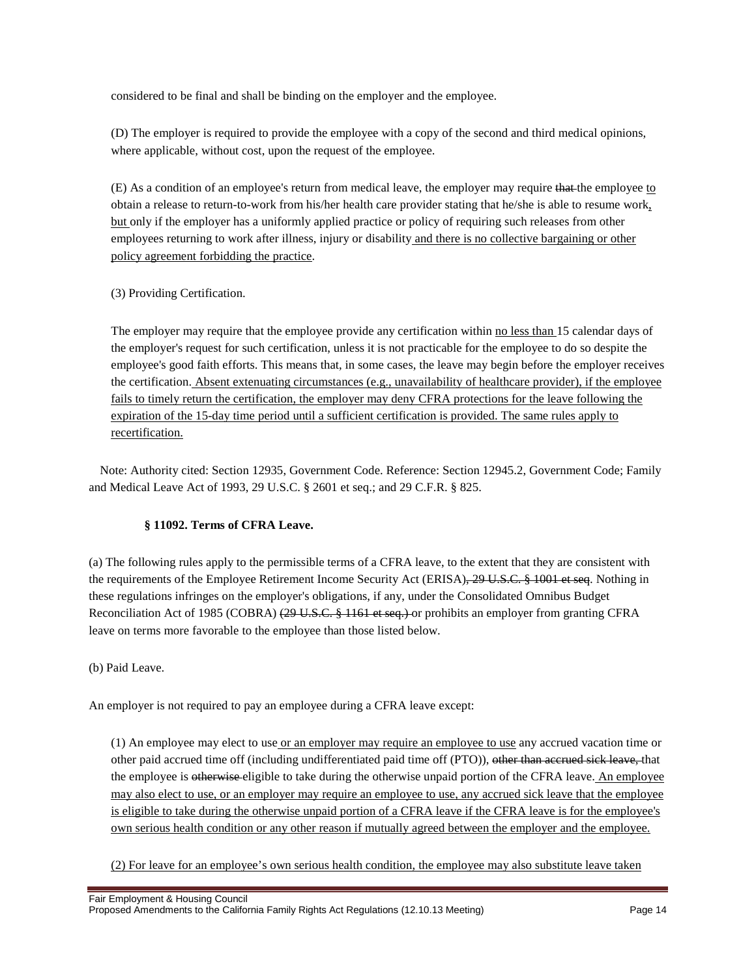considered to be final and shall be binding on the employer and the employee.

(D) The employer is required to provide the employee with a copy of the second and third medical opinions, where applicable, without cost, upon the request of the employee.

(E) As a condition of an employee's return from medical leave, the employer may require that the employee to obtain a release to return-to-work from his/her health care provider stating that he/she is able to resume work, but only if the employer has a uniformly applied practice or policy of requiring such releases from other employees returning to work after illness, injury or disability and there is no collective bargaining or other policy agreement forbidding the practice.

(3) Providing Certification.

The employer may require that the employee provide any certification within no less than 15 calendar days of the employer's request for such certification, unless it is not practicable for the employee to do so despite the employee's good faith efforts. This means that, in some cases, the leave may begin before the employer receives the certification. Absent extenuating circumstances (e.g., unavailability of healthcare provider), if the employee fails to timely return the certification, the employer may deny CFRA protections for the leave following the expiration of the 15-day time period until a sufficient certification is provided. The same rules apply to recertification.

Note: Authority cited: Section 12935, Government Code. Reference: Section 12945.2, Government Code; Family and Medical Leave Act of 1993, 29 U.S.C. § 2601 et seq.; and 29 C.F.R. § 825.

# **§ 11092. Terms of CFRA Leave.**

(a) The following rules apply to the permissible terms of a CFRA leave, to the extent that they are consistent with the requirements of the Employee Retirement Income Security Act (ERISA), 29 U.S.C. § 1001 et seq. Nothing in these regulations infringes on the employer's obligations, if any, under the Consolidated Omnibus Budget Reconciliation Act of 1985 (COBRA) (29 U.S.C. § 1161 et seq.) or prohibits an employer from granting CFRA leave on terms more favorable to the employee than those listed below.

(b) Paid Leave.

An employer is not required to pay an employee during a CFRA leave except:

(1) An employee may elect to use or an employer may require an employee to use any accrued vacation time or other paid accrued time off (including undifferentiated paid time off (PTO)), other than accrued sick leave, that the employee is otherwise eligible to take during the otherwise unpaid portion of the CFRA leave. An employee may also elect to use, or an employer may require an employee to use, any accrued sick leave that the employee is eligible to take during the otherwise unpaid portion of a CFRA leave if the CFRA leave is for the employee's own serious health condition or any other reason if mutually agreed between the employer and the employee.

(2) For leave for an employee's own serious health condition, the employee may also substitute leave taken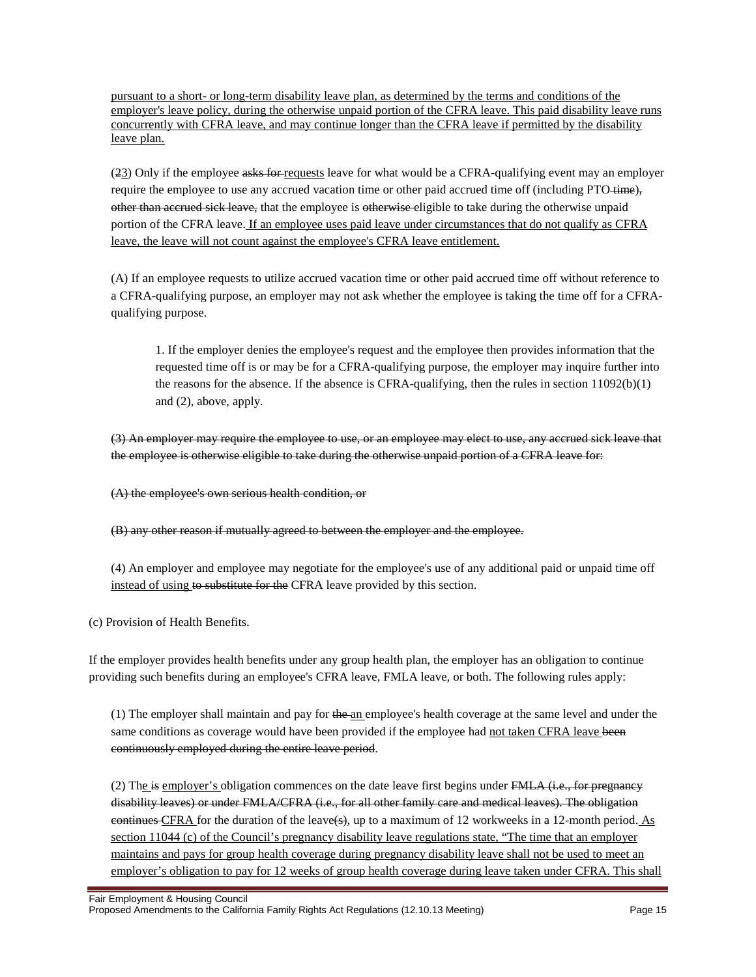pursuant to a short- or long-term disability leave plan, as determined by the terms and conditions of the employer's leave policy, during the otherwise unpaid portion of the CFRA leave. This paid disability leave runs concurrently with CFRA leave, and may continue longer than the CFRA leave if permitted by the disability leave plan.

(23) Only if the employee asks for requests leave for what would be a CFRA-qualifying event may an employer require the employee to use any accrued vacation time or other paid accrued time off (including PTO-time), other than accrued sick leave, that the employee is otherwise eligible to take during the otherwise unpaid portion of the CFRA leave. If an employee uses paid leave under circumstances that do not qualify as CFRA leave, the leave will not count against the employee's CFRA leave entitlement.

(A) If an employee requests to utilize accrued vacation time or other paid accrued time off without reference to a CFRA-qualifying purpose, an employer may not ask whether the employee is taking the time off for a CFRAqualifying purpose.

1. If the employer denies the employee's request and the employee then provides information that the requested time off is or may be for a CFRA-qualifying purpose, the employer may inquire further into the reasons for the absence. If the absence is CFRA-qualifying, then the rules in section  $11092(b)(1)$ and (2), above, apply.

(3) An employer may require the employee to use, or an employee may elect to use, any accrued sick leave that the employee is otherwise eligible to take during the otherwise unpaid portion of a CFRA leave for:

(A) the employee's own serious health condition, or

(B) any other reason if mutually agreed to between the employer and the employee.

(4) An employer and employee may negotiate for the employee's use of any additional paid or unpaid time off instead of using to substitute for the CFRA leave provided by this section.

(c) Provision of Health Benefits.

If the employer provides health benefits under any group health plan, the employer has an obligation to continue providing such benefits during an employee's CFRA leave, FMLA leave, or both. The following rules apply:

(1) The employer shall maintain and pay for the an employee's health coverage at the same level and under the same conditions as coverage would have been provided if the employee had not taken CFRA leave been continuously employed during the entire leave period.

(2) The is employer's obligation commences on the date leave first begins under  $FMLA$  (i.e., for pregnancy disability leaves) or under FMLA/CFRA (i.e., for all other family care and medical leaves). The obligation continues CFRA for the duration of the leave(s), up to a maximum of 12 workweeks in a 12-month period. As section 11044 (c) of the Council's pregnancy disability leave regulations state, "The time that an employer maintains and pays for group health coverage during pregnancy disability leave shall not be used to meet an employer's obligation to pay for 12 weeks of group health coverage during leave taken under CFRA. This shall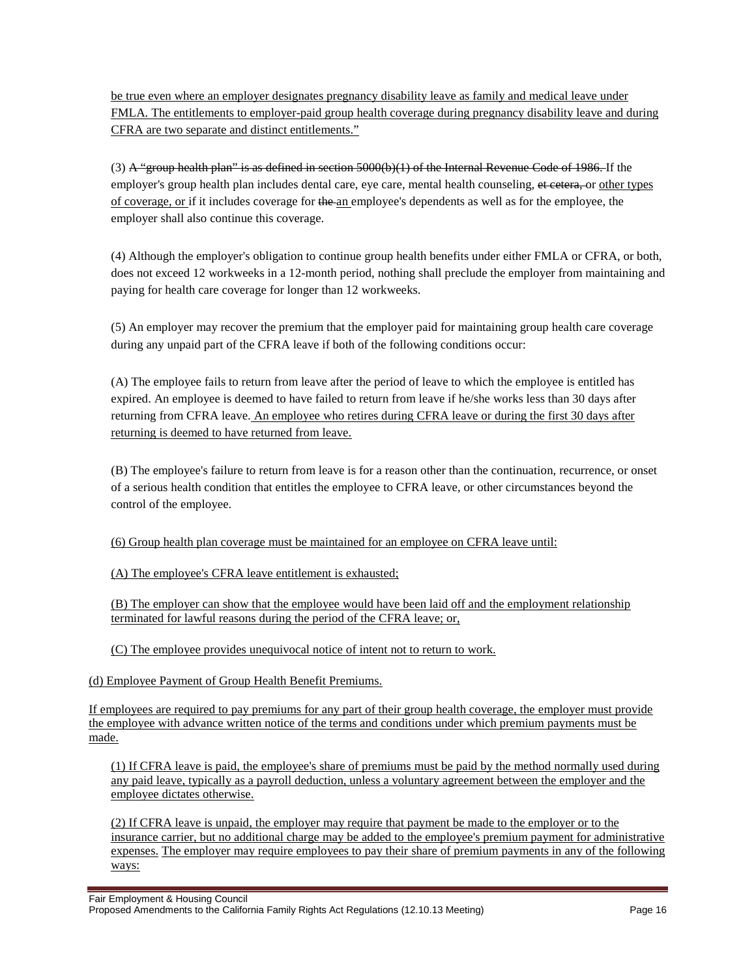be true even where an employer designates pregnancy disability leave as family and medical leave under FMLA. The entitlements to employer-paid group health coverage during pregnancy disability leave and during CFRA are two separate and distinct entitlements."

(3) A "group health plan" is as defined in section  $5000(b)(1)$  of the Internal Revenue Code of 1986. If the employer's group health plan includes dental care, eye care, mental health counseling, et cetera, or other types of coverage, or if it includes coverage for the an employee's dependents as well as for the employee, the employer shall also continue this coverage.

(4) Although the employer's obligation to continue group health benefits under either FMLA or CFRA, or both, does not exceed 12 workweeks in a 12-month period, nothing shall preclude the employer from maintaining and paying for health care coverage for longer than 12 workweeks.

(5) An employer may recover the premium that the employer paid for maintaining group health care coverage during any unpaid part of the CFRA leave if both of the following conditions occur:

(A) The employee fails to return from leave after the period of leave to which the employee is entitled has expired. An employee is deemed to have failed to return from leave if he/she works less than 30 days after returning from CFRA leave. An employee who retires during CFRA leave or during the first 30 days after returning is deemed to have returned from leave.

(B) The employee's failure to return from leave is for a reason other than the continuation, recurrence, or onset of a serious health condition that entitles the employee to CFRA leave, or other circumstances beyond the control of the employee.

(6) Group health plan coverage must be maintained for an employee on CFRA leave until:

(A) The employee's CFRA leave entitlement is exhausted;

(B) The employer can show that the employee would have been laid off and the employment relationship terminated for lawful reasons during the period of the CFRA leave; or,

(C) The employee provides unequivocal notice of intent not to return to work.

(d) Employee Payment of Group Health Benefit Premiums.

If employees are required to pay premiums for any part of their group health coverage, the employer must provide the employee with advance written notice of the terms and conditions under which premium payments must be made.

(1) If CFRA leave is paid, the employee's share of premiums must be paid by the method normally used during any paid leave, typically as a payroll deduction, unless a voluntary agreement between the employer and the employee dictates otherwise.

(2) If CFRA leave is unpaid, the employer may require that payment be made to the employer or to the insurance carrier, but no additional charge may be added to the employee's premium payment for administrative expenses. The employer may require employees to pay their share of premium payments in any of the following ways: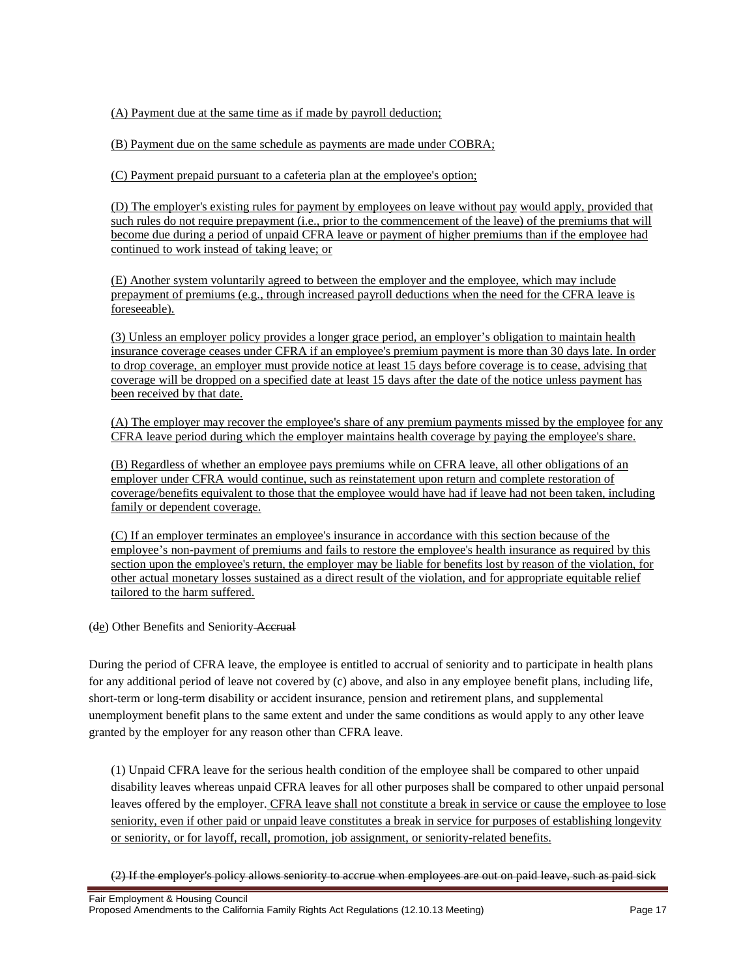(A) Payment due at the same time as if made by payroll deduction;

(B) Payment due on the same schedule as payments are made under COBRA;

(C) Payment prepaid pursuant to a cafeteria plan at the employee's option;

(D) The employer's existing rules for payment by employees on leave without pay would apply, provided that such rules do not require prepayment (i.e., prior to the commencement of the leave) of the premiums that will become due during a period of unpaid CFRA leave or payment of higher premiums than if the employee had continued to work instead of taking leave; or

(E) Another system voluntarily agreed to between the employer and the employee, which may include prepayment of premiums (e.g., through increased payroll deductions when the need for the CFRA leave is foreseeable).

(3) Unless an employer policy provides a longer grace period, an employer's obligation to maintain health insurance coverage ceases under CFRA if an employee's premium payment is more than 30 days late. In order to drop coverage, an employer must provide notice at least 15 days before coverage is to cease, advising that coverage will be dropped on a specified date at least 15 days after the date of the notice unless payment has been received by that date.

(A) The employer may recover the employee's share of any premium payments missed by the employee for any CFRA leave period during which the employer maintains health coverage by paying the employee's share.

(B) Regardless of whether an employee pays premiums while on CFRA leave, all other obligations of an employer under CFRA would continue, such as reinstatement upon return and complete restoration of coverage/benefits equivalent to those that the employee would have had if leave had not been taken, including family or dependent coverage.

(C) If an employer terminates an employee's insurance in accordance with this section because of the employee's non-payment of premiums and fails to restore the employee's health insurance as required by this section upon the employee's return, the employer may be liable for benefits lost by reason of the violation, for other actual monetary losses sustained as a direct result of the violation, and for appropriate equitable relief tailored to the harm suffered.

(de) Other Benefits and Seniority Accrual

During the period of CFRA leave, the employee is entitled to accrual of seniority and to participate in health plans for any additional period of leave not covered by (c) above, and also in any employee benefit plans, including life, short-term or long-term disability or accident insurance, pension and retirement plans, and supplemental unemployment benefit plans to the same extent and under the same conditions as would apply to any other leave granted by the employer for any reason other than CFRA leave.

(1) Unpaid CFRA leave for the serious health condition of the employee shall be compared to other unpaid disability leaves whereas unpaid CFRA leaves for all other purposes shall be compared to other unpaid personal leaves offered by the employer. CFRA leave shall not constitute a break in service or cause the employee to lose seniority, even if other paid or unpaid leave constitutes a break in service for purposes of establishing longevity or seniority, or for layoff, recall, promotion, job assignment, or seniority-related benefits.

(2) If the employer's policy allows seniority to accrue when employees are out on paid leave, such as paid sick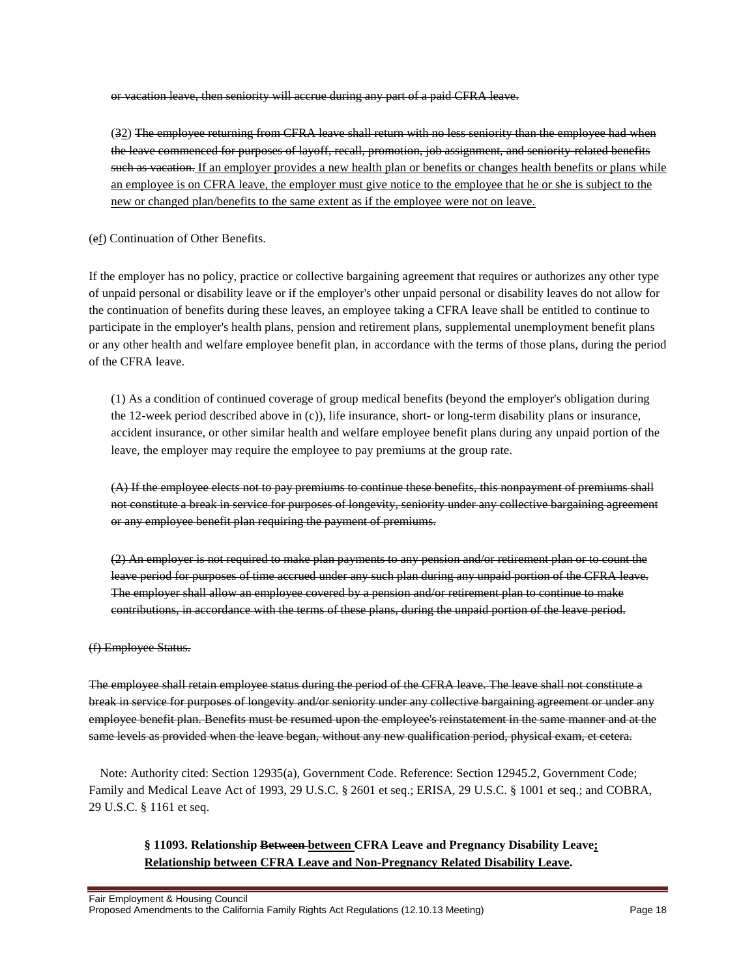or vacation leave, then seniority will accrue during any part of a paid CFRA leave.

(32) The employee returning from CFRA leave shall return with no less seniority than the employee had when the leave commenced for purposes of layoff, recall, promotion, job assignment, and seniority-related benefits such as vacation. If an employer provides a new health plan or benefits or changes health benefits or plans while an employee is on CFRA leave, the employer must give notice to the employee that he or she is subject to the new or changed plan/benefits to the same extent as if the employee were not on leave.

(ef) Continuation of Other Benefits.

If the employer has no policy, practice or collective bargaining agreement that requires or authorizes any other type of unpaid personal or disability leave or if the employer's other unpaid personal or disability leaves do not allow for the continuation of benefits during these leaves, an employee taking a CFRA leave shall be entitled to continue to participate in the employer's health plans, pension and retirement plans, supplemental unemployment benefit plans or any other health and welfare employee benefit plan, in accordance with the terms of those plans, during the period of the CFRA leave.

(1) As a condition of continued coverage of group medical benefits (beyond the employer's obligation during the 12-week period described above in (c)), life insurance, short- or long-term disability plans or insurance, accident insurance, or other similar health and welfare employee benefit plans during any unpaid portion of the leave, the employer may require the employee to pay premiums at the group rate.

(A) If the employee elects not to pay premiums to continue these benefits, this nonpayment of premiums shall not constitute a break in service for purposes of longevity, seniority under any collective bargaining agreement or any employee benefit plan requiring the payment of premiums.

(2) An employer is not required to make plan payments to any pension and/or retirement plan or to count the leave period for purposes of time accrued under any such plan during any unpaid portion of the CFRA leave. The employer shall allow an employee covered by a pension and/or retirement plan to continue to make contributions, in accordance with the terms of these plans, during the unpaid portion of the leave period.

(f) Employee Status.

The employee shall retain employee status during the period of the CFRA leave. The leave shall not constitute a break in service for purposes of longevity and/or seniority under any collective bargaining agreement or under any employee benefit plan. Benefits must be resumed upon the employee's reinstatement in the same manner and at the same levels as provided when the leave began, without any new qualification period, physical exam, et cetera.

Note: Authority cited: Section 12935(a), Government Code. Reference: Section 12945.2, Government Code; Family and Medical Leave Act of 1993, 29 U.S.C. § 2601 et seq.; ERISA, 29 U.S.C. § 1001 et seq.; and COBRA, 29 U.S.C. § 1161 et seq.

# **§ 11093. Relationship Between between CFRA Leave and Pregnancy Disability Leave; Relationship between CFRA Leave and Non-Pregnancy Related Disability Leave.**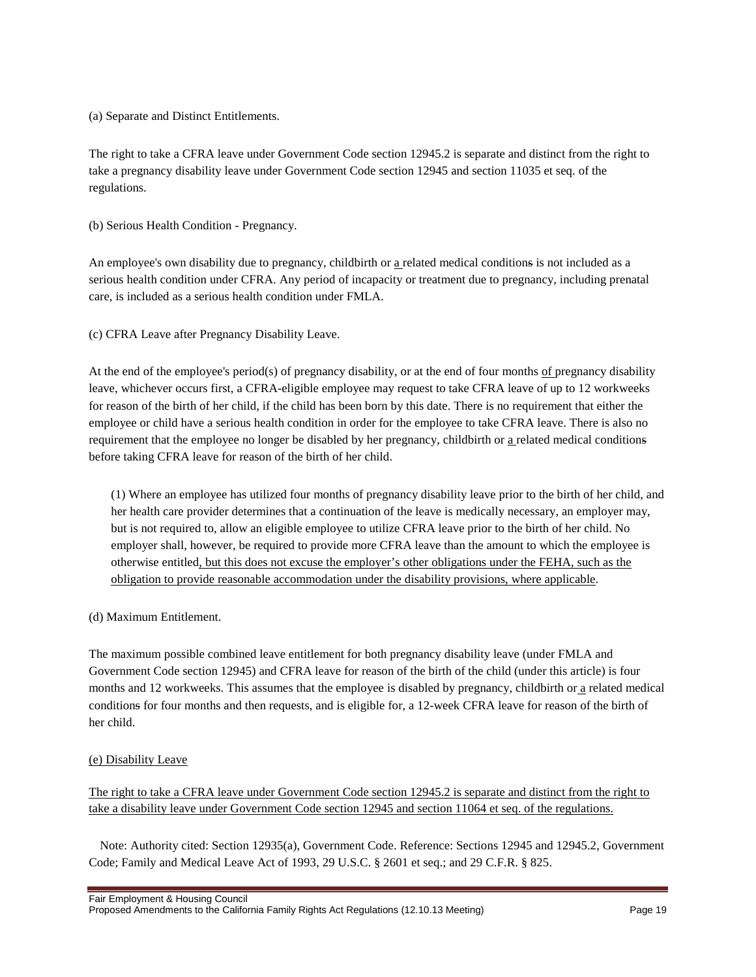(a) Separate and Distinct Entitlements.

The right to take a CFRA leave under Government Code section 12945.2 is separate and distinct from the right to take a pregnancy disability leave under Government Code section 12945 and section 11035 et seq. of the regulations.

(b) Serious Health Condition - Pregnancy.

An employee's own disability due to pregnancy, childbirth or a related medical conditions is not included as a serious health condition under CFRA. Any period of incapacity or treatment due to pregnancy, including prenatal care, is included as a serious health condition under FMLA.

(c) CFRA Leave after Pregnancy Disability Leave.

At the end of the employee's period(s) of pregnancy disability, or at the end of four months of pregnancy disability leave, whichever occurs first, a CFRA-eligible employee may request to take CFRA leave of up to 12 workweeks for reason of the birth of her child, if the child has been born by this date. There is no requirement that either the employee or child have a serious health condition in order for the employee to take CFRA leave. There is also no requirement that the employee no longer be disabled by her pregnancy, childbirth or a related medical conditions before taking CFRA leave for reason of the birth of her child.

(1) Where an employee has utilized four months of pregnancy disability leave prior to the birth of her child, and her health care provider determines that a continuation of the leave is medically necessary, an employer may, but is not required to, allow an eligible employee to utilize CFRA leave prior to the birth of her child. No employer shall, however, be required to provide more CFRA leave than the amount to which the employee is otherwise entitled, but this does not excuse the employer's other obligations under the FEHA, such as the obligation to provide reasonable accommodation under the disability provisions, where applicable.

(d) Maximum Entitlement.

The maximum possible combined leave entitlement for both pregnancy disability leave (under FMLA and Government Code section 12945) and CFRA leave for reason of the birth of the child (under this article) is four months and 12 workweeks. This assumes that the employee is disabled by pregnancy, childbirth or a related medical conditions for four months and then requests, and is eligible for, a 12-week CFRA leave for reason of the birth of her child.

# (e) Disability Leave

The right to take a CFRA leave under Government Code section 12945.2 is separate and distinct from the right to take a disability leave under Government Code section 12945 and section 11064 et seq. of the regulations.

Note: Authority cited: Section 12935(a), Government Code. Reference: Sections 12945 and 12945.2, Government Code; Family and Medical Leave Act of 1993, 29 U.S.C. § 2601 et seq.; and 29 C.F.R. § 825.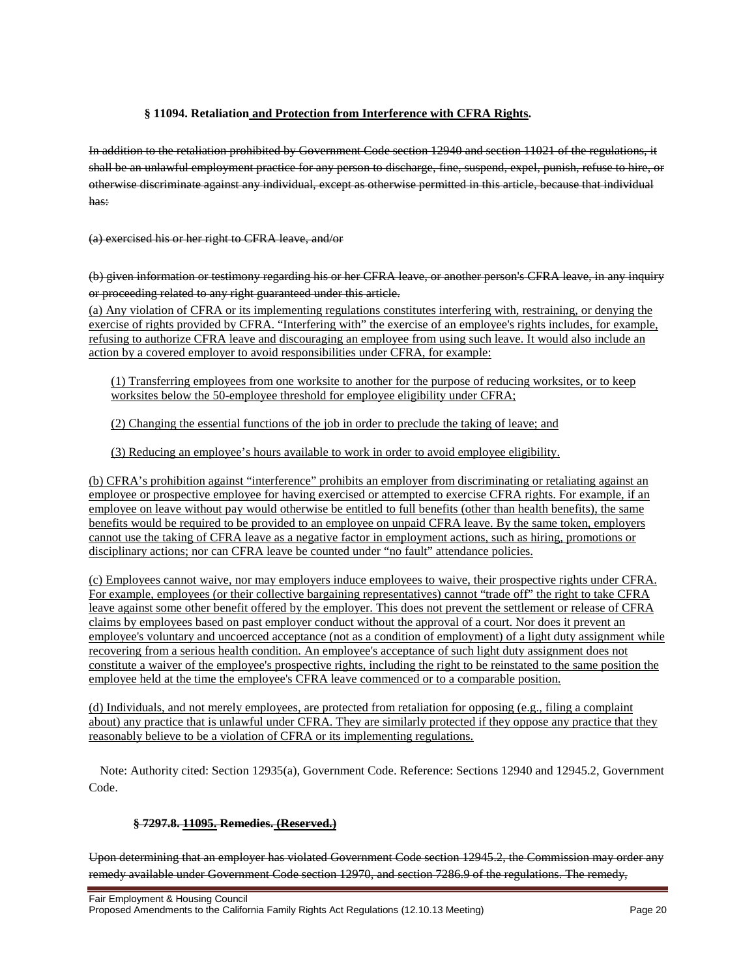#### **§ 11094. Retaliation and Protection from Interference with CFRA Rights.**

In addition to the retaliation prohibited by Government Code section 12940 and section 11021 of the regulations, it shall be an unlawful employment practice for any person to discharge, fine, suspend, expel, punish, refuse to hire, or otherwise discriminate against any individual, except as otherwise permitted in this article, because that individual has:

(a) exercised his or her right to CFRA leave, and/or

(b) given information or testimony regarding his or her CFRA leave, or another person's CFRA leave, in any inquiry or proceeding related to any right guaranteed under this article.

(a) Any violation of CFRA or its implementing regulations constitutes interfering with, restraining, or denying the exercise of rights provided by CFRA. "Interfering with" the exercise of an employee's rights includes, for example, refusing to authorize CFRA leave and discouraging an employee from using such leave. It would also include an action by a covered employer to avoid responsibilities under CFRA, for example:

(1) Transferring employees from one worksite to another for the purpose of reducing worksites, or to keep worksites below the 50-employee threshold for employee eligibility under CFRA;

(2) Changing the essential functions of the job in order to preclude the taking of leave; and

(3) Reducing an employee's hours available to work in order to avoid employee eligibility.

(b) CFRA's prohibition against "interference" prohibits an employer from discriminating or retaliating against an employee or prospective employee for having exercised or attempted to exercise CFRA rights. For example, if an employee on leave without pay would otherwise be entitled to full benefits (other than health benefits), the same benefits would be required to be provided to an employee on unpaid CFRA leave. By the same token, employers cannot use the taking of CFRA leave as a negative factor in employment actions, such as hiring, promotions or disciplinary actions; nor can CFRA leave be counted under "no fault" attendance policies.

(c) Employees cannot waive, nor may employers induce employees to waive, their prospective rights under CFRA. For example, employees (or their collective bargaining representatives) cannot "trade off" the right to take CFRA leave against some other benefit offered by the employer. This does not prevent the settlement or release of CFRA claims by employees based on past employer conduct without the approval of a court. Nor does it prevent an employee's voluntary and uncoerced acceptance (not as a condition of employment) of a light duty assignment while recovering from a serious health condition. An employee's acceptance of such light duty assignment does not constitute a waiver of the employee's prospective rights, including the right to be reinstated to the same position the employee held at the time the employee's CFRA leave commenced or to a comparable position.

(d) Individuals, and not merely employees, are protected from retaliation for opposing (e.g., filing a complaint about) any practice that is unlawful under CFRA. They are similarly protected if they oppose any practice that they reasonably believe to be a violation of CFRA or its implementing regulations.

Note: Authority cited: Section 12935(a), Government Code. Reference: Sections 12940 and 12945.2, Government Code.

#### **§ 7297.8. 11095. Remedies. (Reserved.)**

Upon determining that an employer has violated Government Code section 12945.2, the Commission may order any remedy available under Government Code section 12970, and section 7286.9 of the regulations. The remedy,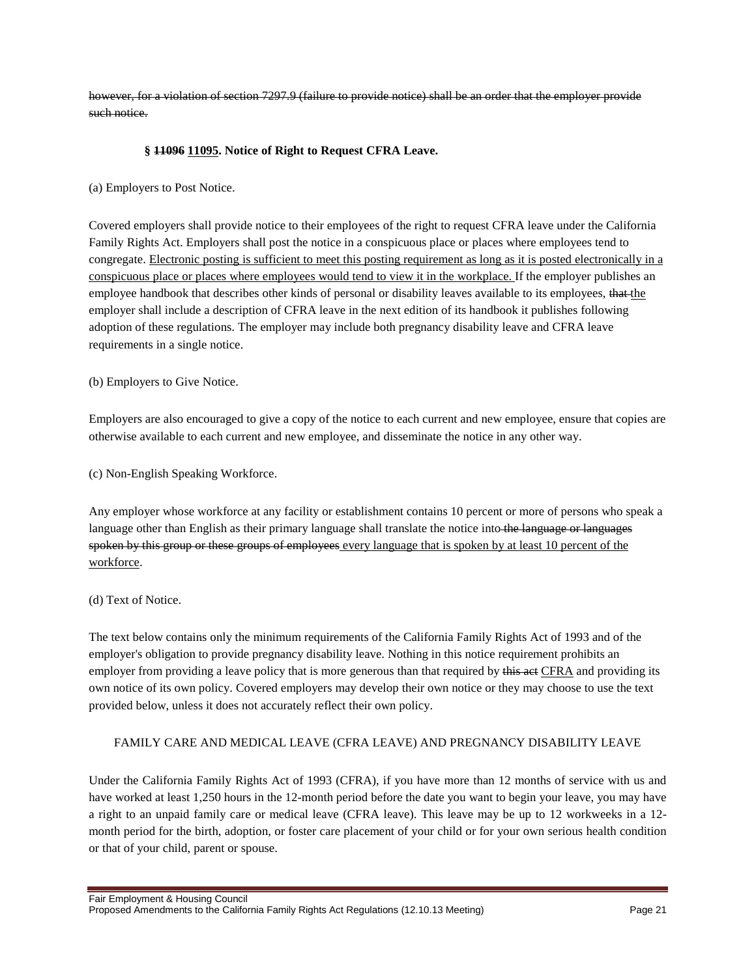however, for a violation of section 7297.9 (failure to provide notice) shall be an order that the employer provide such notice.

#### **§ 11096 11095. Notice of Right to Request CFRA Leave.**

(a) Employers to Post Notice.

Covered employers shall provide notice to their employees of the right to request CFRA leave under the California Family Rights Act. Employers shall post the notice in a conspicuous place or places where employees tend to congregate. Electronic posting is sufficient to meet this posting requirement as long as it is posted electronically in a conspicuous place or places where employees would tend to view it in the workplace. If the employer publishes an employee handbook that describes other kinds of personal or disability leaves available to its employees, that the employer shall include a description of CFRA leave in the next edition of its handbook it publishes following adoption of these regulations. The employer may include both pregnancy disability leave and CFRA leave requirements in a single notice.

(b) Employers to Give Notice.

Employers are also encouraged to give a copy of the notice to each current and new employee, ensure that copies are otherwise available to each current and new employee, and disseminate the notice in any other way.

(c) Non-English Speaking Workforce.

Any employer whose workforce at any facility or establishment contains 10 percent or more of persons who speak a language other than English as their primary language shall translate the notice into the language or languages spoken by this group or these groups of employees every language that is spoken by at least 10 percent of the workforce.

#### (d) Text of Notice.

The text below contains only the minimum requirements of the California Family Rights Act of 1993 and of the employer's obligation to provide pregnancy disability leave. Nothing in this notice requirement prohibits an employer from providing a leave policy that is more generous than that required by this act CFRA and providing its own notice of its own policy. Covered employers may develop their own notice or they may choose to use the text provided below, unless it does not accurately reflect their own policy.

#### FAMILY CARE AND MEDICAL LEAVE (CFRA LEAVE) AND PREGNANCY DISABILITY LEAVE

Under the California Family Rights Act of 1993 (CFRA), if you have more than 12 months of service with us and have worked at least 1,250 hours in the 12-month period before the date you want to begin your leave, you may have a right to an unpaid family care or medical leave (CFRA leave). This leave may be up to 12 workweeks in a 12 month period for the birth, adoption, or foster care placement of your child or for your own serious health condition or that of your child, parent or spouse.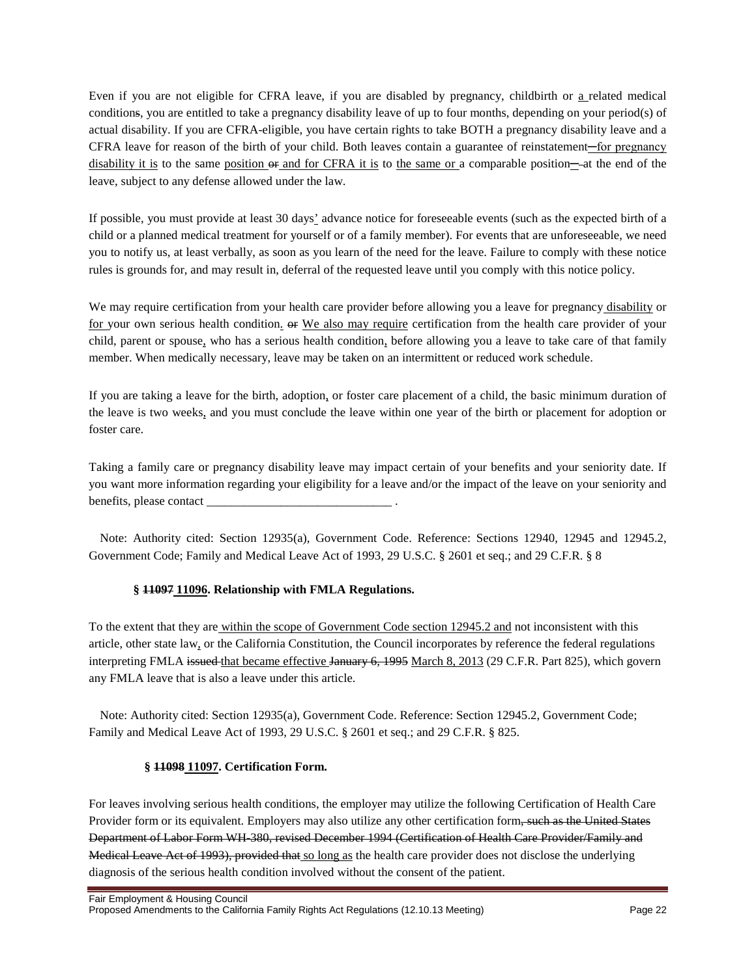Even if you are not eligible for CFRA leave, if you are disabled by pregnancy, childbirth or a related medical conditions, you are entitled to take a pregnancy disability leave of up to four months, depending on your period(s) of actual disability. If you are CFRA-eligible, you have certain rights to take BOTH a pregnancy disability leave and a CFRA leave for reason of the birth of your child. Both leaves contain a guarantee of reinstatement─for pregnancy disability it is to the same position  $\Theta$  and for CFRA it is to the same or a comparable position—at the end of the leave, subject to any defense allowed under the law.

If possible, you must provide at least 30 days' advance notice for foreseeable events (such as the expected birth of a child or a planned medical treatment for yourself or of a family member). For events that are unforeseeable, we need you to notify us, at least verbally, as soon as you learn of the need for the leave. Failure to comply with these notice rules is grounds for, and may result in, deferral of the requested leave until you comply with this notice policy.

We may require certification from your health care provider before allowing you a leave for pregnancy disability or for your own serious health condition.  $\Theta$  We also may require certification from the health care provider of your child, parent or spouse, who has a serious health condition, before allowing you a leave to take care of that family member. When medically necessary, leave may be taken on an intermittent or reduced work schedule.

If you are taking a leave for the birth, adoption, or foster care placement of a child, the basic minimum duration of the leave is two weeks, and you must conclude the leave within one year of the birth or placement for adoption or foster care.

Taking a family care or pregnancy disability leave may impact certain of your benefits and your seniority date. If you want more information regarding your eligibility for a leave and/or the impact of the leave on your seniority and benefits, please contact

Note: Authority cited: Section 12935(a), Government Code. Reference: Sections 12940, 12945 and 12945.2, Government Code; Family and Medical Leave Act of 1993, 29 U.S.C. § 2601 et seq.; and 29 C.F.R. § 8

# **§ 11097 11096. Relationship with FMLA Regulations.**

To the extent that they are within the scope of Government Code section 12945.2 and not inconsistent with this article, other state law, or the California Constitution, the Council incorporates by reference the federal regulations interpreting FMLA issued that became effective January 6, 1995 March 8, 2013 (29 C.F.R. Part 825), which govern any FMLA leave that is also a leave under this article.

Note: Authority cited: Section 12935(a), Government Code. Reference: Section 12945.2, Government Code; Family and Medical Leave Act of 1993, 29 U.S.C. § 2601 et seq.; and 29 C.F.R. § 825.

# **§ 11098 11097. Certification Form.**

For leaves involving serious health conditions, the employer may utilize the following Certification of Health Care Provider form or its equivalent. Employers may also utilize any other certification form, such as the United States Department of Labor Form WH-380, revised December 1994 (Certification of Health Care Provider/Family and Medical Leave Act of 1993), provided that so long as the health care provider does not disclose the underlying diagnosis of the serious health condition involved without the consent of the patient.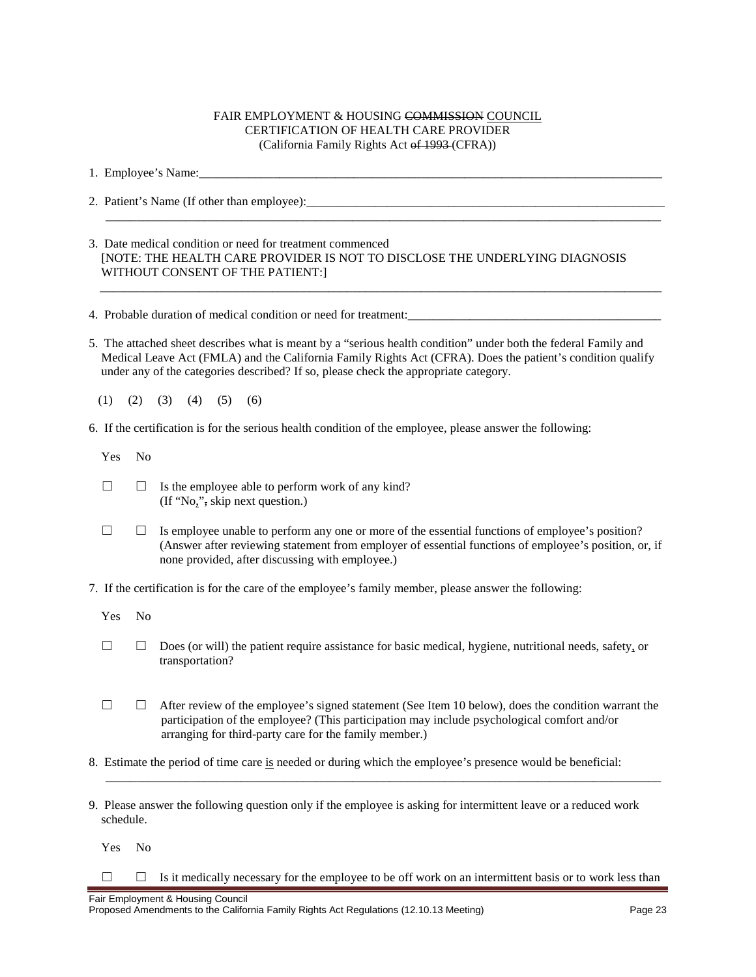#### FAIR EMPLOYMENT & HOUSING COMMISSION COUNCIL CERTIFICATION OF HEALTH CARE PROVIDER (California Family Rights Act of 1993 (CFRA))

\_\_\_\_\_\_\_\_\_\_\_\_\_\_\_\_\_\_\_\_\_\_\_\_\_\_\_\_\_\_\_\_\_\_\_\_\_\_\_\_\_\_\_\_\_\_\_\_\_\_\_\_\_\_\_\_\_\_\_\_\_\_\_\_\_\_\_\_\_\_\_\_\_\_\_\_\_\_\_\_\_\_\_\_\_\_\_\_\_\_

\_\_\_\_\_\_\_\_\_\_\_\_\_\_\_\_\_\_\_\_\_\_\_\_\_\_\_\_\_\_\_\_\_\_\_\_\_\_\_\_\_\_\_\_\_\_\_\_\_\_\_\_\_\_\_\_\_\_\_\_\_\_\_\_\_\_\_\_\_\_\_\_\_\_\_\_\_\_\_\_\_\_\_\_\_\_\_\_\_\_\_

1. Employee's Name:

2. Patient's Name (If other than employee):\_\_\_\_\_\_\_\_\_\_\_\_\_\_\_\_\_\_\_\_\_\_\_\_\_\_\_\_\_\_\_\_\_\_\_\_\_\_\_\_\_\_\_\_\_\_\_\_\_\_\_\_\_\_\_\_\_\_

3. Date medical condition or need for treatment commenced [NOTE: THE HEALTH CARE PROVIDER IS NOT TO DISCLOSE THE UNDERLYING DIAGNOSIS WITHOUT CONSENT OF THE PATIENT:]

4. Probable duration of medical condition or need for treatment:

5. The attached sheet describes what is meant by a "serious health condition" under both the federal Family and Medical Leave Act (FMLA) and the California Family Rights Act (CFRA). Does the patient's condition qualify under any of the categories described? If so, please check the appropriate category.

 $(1)$   $(2)$   $(3)$   $(4)$   $(5)$   $(6)$ 

6. If the certification is for the serious health condition of the employee, please answer the following:

Yes No

- $\Box$  Is the employee able to perform work of any kind? (If "No,", skip next question.)
- $\Box$  Is employee unable to perform any one or more of the essential functions of employee's position? (Answer after reviewing statement from employer of essential functions of employee's position, or, if none provided, after discussing with employee.)
- 7. If the certification is for the care of the employee's family member, please answer the following:

Yes No

- ☐ ☐ Does (or will) the patient require assistance for basic medical, hygiene, nutritional needs, safety, or transportation?
- ☐ ☐ After review of the employee's signed statement (See Item 10 below), does the condition warrant the participation of the employee? (This participation may include psychological comfort and/or arranging for third-party care for the family member.)

\_\_\_\_\_\_\_\_\_\_\_\_\_\_\_\_\_\_\_\_\_\_\_\_\_\_\_\_\_\_\_\_\_\_\_\_\_\_\_\_\_\_\_\_\_\_\_\_\_\_\_\_\_\_\_\_\_\_\_\_\_\_\_\_\_\_\_\_\_\_\_\_\_\_\_\_\_\_\_\_\_\_\_\_\_\_\_\_\_\_

8. Estimate the period of time care is needed or during which the employee's presence would be beneficial:

9. Please answer the following question only if the employee is asking for intermittent leave or a reduced work schedule.

Yes No

☐ ☐ Is it medically necessary for the employee to be off work on an intermittent basis or to work less than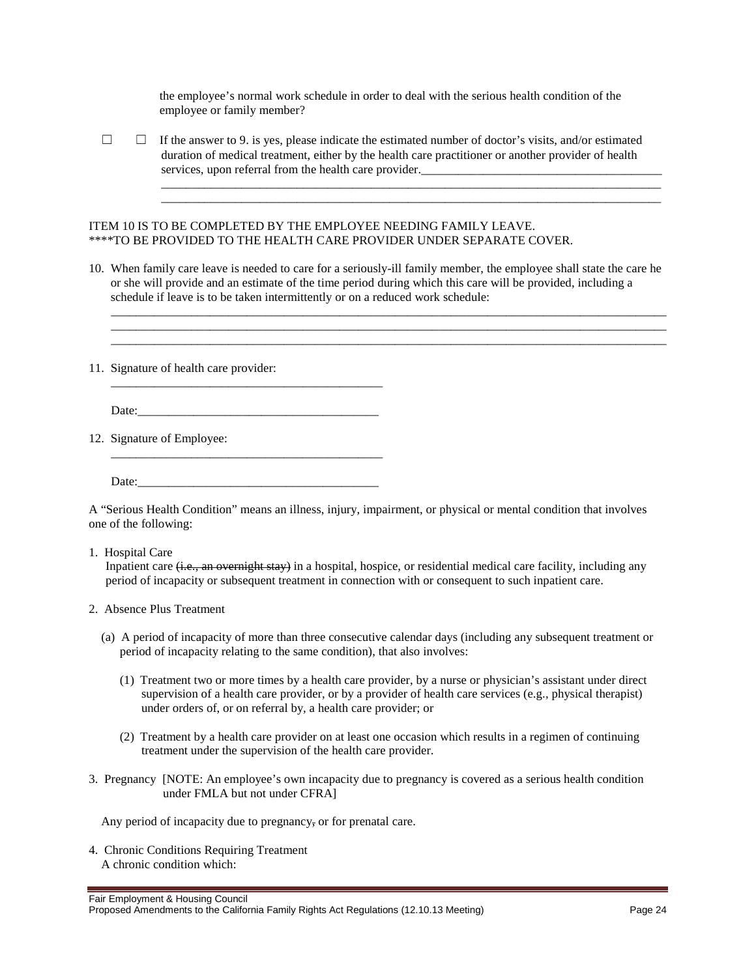the employee's normal work schedule in order to deal with the serious health condition of the employee or family member?

\_\_\_\_\_\_\_\_\_\_\_\_\_\_\_\_\_\_\_\_\_\_\_\_\_\_\_\_\_\_\_\_\_\_\_\_\_\_\_\_\_\_\_\_\_\_\_\_\_\_\_\_\_\_\_\_\_\_\_\_\_\_\_\_\_\_\_\_\_\_\_\_\_\_\_\_\_\_\_\_\_ \_\_\_\_\_\_\_\_\_\_\_\_\_\_\_\_\_\_\_\_\_\_\_\_\_\_\_\_\_\_\_\_\_\_\_\_\_\_\_\_\_\_\_\_\_\_\_\_\_\_\_\_\_\_\_\_\_\_\_\_\_\_\_\_\_\_\_\_\_\_\_\_\_\_\_\_\_\_\_\_\_

☐ ☐ If the answer to 9. is yes, please indicate the estimated number of doctor's visits, and/or estimated duration of medical treatment, either by the health care practitioner or another provider of health services, upon referral from the health care provider.

#### ITEM 10 IS TO BE COMPLETED BY THE EMPLOYEE NEEDING FAMILY LEAVE. \*\*\*\*TO BE PROVIDED TO THE HEALTH CARE PROVIDER UNDER SEPARATE COVER.

10. When family care leave is needed to care for a seriously-ill family member, the employee shall state the care he or she will provide and an estimate of the time period during which this care will be provided, including a schedule if leave is to be taken intermittently or on a reduced work schedule:

\_\_\_\_\_\_\_\_\_\_\_\_\_\_\_\_\_\_\_\_\_\_\_\_\_\_\_\_\_\_\_\_\_\_\_\_\_\_\_\_\_\_\_\_\_\_\_\_\_\_\_\_\_\_\_\_\_\_\_\_\_\_\_\_\_\_\_\_\_\_\_\_\_\_\_\_\_\_\_\_\_\_\_\_\_\_\_\_\_\_ \_\_\_\_\_\_\_\_\_\_\_\_\_\_\_\_\_\_\_\_\_\_\_\_\_\_\_\_\_\_\_\_\_\_\_\_\_\_\_\_\_\_\_\_\_\_\_\_\_\_\_\_\_\_\_\_\_\_\_\_\_\_\_\_\_\_\_\_\_\_\_\_\_\_\_\_\_\_\_\_\_\_\_\_\_\_\_\_\_\_ \_\_\_\_\_\_\_\_\_\_\_\_\_\_\_\_\_\_\_\_\_\_\_\_\_\_\_\_\_\_\_\_\_\_\_\_\_\_\_\_\_\_\_\_\_\_\_\_\_\_\_\_\_\_\_\_\_\_\_\_\_\_\_\_\_\_\_\_\_\_\_\_\_\_\_\_\_\_\_\_\_\_\_\_\_\_\_\_\_\_

11. Signature of health care provider:

| Date: |  |
|-------|--|
|       |  |

\_\_\_\_\_\_\_\_\_\_\_\_\_\_\_\_\_\_\_\_\_\_\_\_\_\_\_\_\_\_\_\_\_\_\_\_\_\_\_\_\_\_\_\_

12. Signature of Employee:

| Date: |
|-------|
|-------|

\_\_\_\_\_\_\_\_\_\_\_\_\_\_\_\_\_\_\_\_\_\_\_\_\_\_\_\_\_\_\_\_\_\_\_\_\_\_\_\_\_\_\_\_

A "Serious Health Condition" means an illness, injury, impairment, or physical or mental condition that involves one of the following:

1. Hospital Care

Inpatient care (i.e., an overnight stay) in a hospital, hospice, or residential medical care facility, including any period of incapacity or subsequent treatment in connection with or consequent to such inpatient care.

- 2. Absence Plus Treatment
	- (a) A period of incapacity of more than three consecutive calendar days (including any subsequent treatment or period of incapacity relating to the same condition), that also involves:
		- (1) Treatment two or more times by a health care provider, by a nurse or physician's assistant under direct supervision of a health care provider, or by a provider of health care services (e.g., physical therapist) under orders of, or on referral by, a health care provider; or
		- (2) Treatment by a health care provider on at least one occasion which results in a regimen of continuing treatment under the supervision of the health care provider.
- 3. Pregnancy [NOTE: An employee's own incapacity due to pregnancy is covered as a serious health condition under FMLA but not under CFRA]

Any period of incapacity due to pregnancy, or for prenatal care.

4. Chronic Conditions Requiring Treatment A chronic condition which: